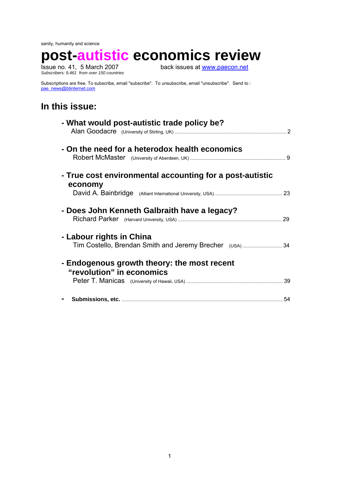sanity, humanity and science

**post-autistic economics review**

*Subscribers: 9,461 from over 150 countries* 

back issues at [www.paecon.net](http://www.paecon.net/)

Subscriptions are free. To subscribe, email "subscribe". To unsubscribe, email "unsubscribe". Send to : [pae\\_news@btinternet.com](mailto:pae_news@btinternet.com)

# **In this issue:**

| - What would post-autistic trade policy be?                              |  |
|--------------------------------------------------------------------------|--|
| - On the need for a heterodox health economics                           |  |
| - True cost environmental accounting for a post-autistic                 |  |
| economy                                                                  |  |
| - Does John Kenneth Galbraith have a legacy?                             |  |
| - Labour rights in China                                                 |  |
| - Endogenous growth theory: the most recent<br>"revolution" in economics |  |
|                                                                          |  |
|                                                                          |  |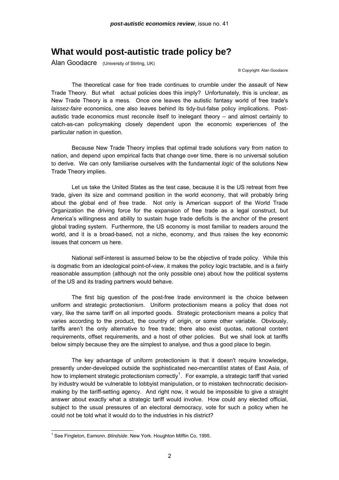## **What would post-autistic trade policy be?**

Alan Goodacre (University of Stirling, UK)

© Copyright: Alan Goodacre

 The theoretical case for free trade continues to crumble under the assault of New Trade Theory. But what actual policies does this imply? Unfortunately, this is unclear, as New Trade Theory is a mess. Once one leaves the autistic fantasy world of free trade's *laissez-faire* economics, one also leaves behind its tidy-but-false policy implications. Postautistic trade economics must reconcile itself to inelegant theory – and almost certainly to catch-as-can policymaking closely dependent upon the economic experiences of the particular nation in question.

 Because New Trade Theory implies that optimal trade solutions vary from nation to nation, and depend upon empirical facts that change over time, there is no universal solution to derive. We can only familiarise ourselves with the fundamental *logic* of the solutions New Trade Theory implies.

 Let us take the United States as the test case, because it is the US retreat from free trade, given its size and command position in the world economy, that will probably bring about the global end of free trade. Not only is American support of the World Trade Organization the driving force for the expansion of free trade as a legal construct, but America's willingness and ability to sustain huge trade deficits is the anchor of the present global trading system. Furthermore, the US economy is most familiar to readers around the world, and it is a broad-based, not a niche, economy, and thus raises the key economic issues that concern us here.

 National self-interest is assumed below to be the objective of trade policy. While this is dogmatic from an ideological point-of-view, it makes the policy logic tractable, and is a fairly reasonable assumption (although not the only possible one) about how the political systems of the US and its trading partners would behave.

 The first big question of the post-free trade environment is the choice between uniform and strategic protectionism. Uniform protectionism means a policy that does not vary, like the same tariff on all imported goods. Strategic protectionism means a policy that varies according to the product, the country of origin, or some other variable. Obviously, tariffs aren't the only alternative to free trade; there also exist quotas, national content requirements, offset requirements, and a host of other policies. But we shall look at tariffs below simply because they are the simplest to analyse, and thus a good place to begin.

 The key advantage of uniform protectionism is that it doesn't require knowledge, presently under-developed outside the sophisticated neo-mercantilist states of East Asia, of how to implement strategic protectionism correctly<sup>[1](#page-1-0)</sup>. For example, a strategic tariff that varied by industry would be vulnerable to lobbyist manipulation, or to mistaken technocratic decisionmaking by the tariff-setting agency. And right now, it would be impossible to give a straight answer about exactly what a strategic tariff would involve. How could any elected official, subject to the usual pressures of an electoral democracy, vote for such a policy when he could not be told what it would do to the industries in his district?

<span id="page-1-0"></span> 1 See Fingleton, Eamonn. *Blindside*. New York. Houghton Mifflin Co, 1995.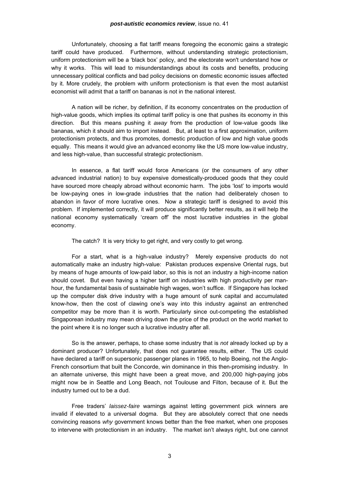### *post-autistic economics review*, issue no. 41

 Unfortunately, choosing a flat tariff means foregoing the economic gains a strategic tariff could have produced. Furthermore, without understanding strategic protectionism, uniform protectionism will be a 'black box' policy, and the electorate won't understand how or why it works. This will lead to misunderstandings about its costs and benefits, producing unnecessary political conflicts and bad policy decisions on domestic economic issues affected by it. More crudely, the problem with uniform protectionism is that even the most autarkist economist will admit that a tariff on bananas is not in the national interest.

 A nation will be richer, by definition, if its economy concentrates on the production of high-value goods, which implies its optimal tariff policy is one that pushes its economy in this direction. But this means pushing it *away* from the production of low-value goods like bananas, which it should aim to import instead. But, at least to a first approximation, uniform protectionism protects, and thus promotes, domestic production of low and high value goods equally. This means it would give an advanced economy like the US more low-value industry, and less high-value, than successful strategic protectionism.

 In essence, a flat tariff would force Americans (or the consumers of any other advanced industrial nation) to buy expensive domestically-produced goods that they could have sourced more cheaply abroad without economic harm. The jobs 'lost' to imports would be low-paying ones in low-grade industries that the nation had deliberately chosen to abandon in favor of more lucrative ones. Now a strategic tariff is designed to avoid this problem. If implemented correctly, it will produce significantly better results, as it will help the national economy systematically 'cream off' the most lucrative industries in the global economy.

The catch? It is very tricky to get right, and very costly to get wrong.

 For a start, what is a high-value industry? Merely expensive products do not automatically make an industry high-value: Pakistan produces expensive Oriental rugs, but by means of huge amounts of low-paid labor, so this is not an industry a high-income nation should covet. But even having a higher tariff on industries with high productivity per manhour, the fundamental basis of sustainable high wages, won't suffice. If Singapore has locked up the computer disk drive industry with a huge amount of sunk capital and accumulated know-how, then the cost of clawing one's way into this industry against an entrenched competitor may be more than it is worth. Particularly since out-competing the established Singaporean industry may mean driving down the price of the product on the world market to the point where it is no longer such a lucrative industry after all.

 So is the answer, perhaps, to chase some industry that is *not* already locked up by a dominant producer? Unfortunately, that does not guarantee results, either. The US could have declared a tariff on supersonic passenger planes in 1965, to help Boeing, not the Anglo-French consortium that built the Concorde, win dominance in this then-promising industry. In an alternate universe, this might have been a great move, and 200,000 high-paying jobs might now be in Seattle and Long Beach, not Toulouse and Filton, because of it. But the industry turned out to be a dud.

 Free traders' *laissez-faire* warnings against letting government pick winners are invalid if elevated to a universal dogma. But they are absolutely correct that one needs convincing reasons *why* government knows better than the free market, when one proposes to intervene with protectionism in an industry. The market isn't always right, but one cannot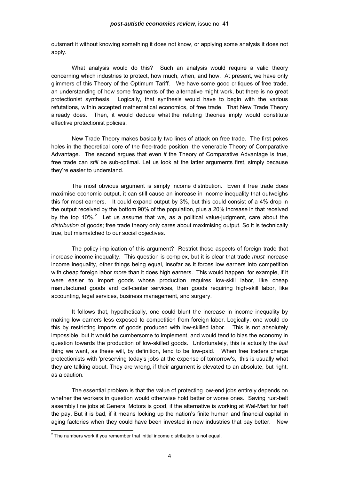outsmart it without knowing something it does not know, or applying some analysis it does not apply.

 What analysis would do this? Such an analysis would require a valid theory concerning which industries to protect, how much, when, and how. At present, we have only glimmers of this Theory of the Optimum Tariff. We have some good critiques of free trade, an understanding of how some fragments of the alternative might work, but there is no great protectionist synthesis. Logically, that synthesis would have to begin with the various refutations, within accepted mathematical economics, of free trade. That New Trade Theory already does. Then, it would deduce what the refuting theories imply would constitute effective protectionist policies.

 New Trade Theory makes basically two lines of attack on free trade. The first pokes holes in the theoretical core of the free-trade position: the venerable Theory of Comparative Advantage. The second argues that even *if* the Theory of Comparative Advantage is true, free trade can *still* be sub-optimal. Let us look at the latter arguments first, simply because they're easier to understand.

 The most obvious argument is simply income distribution. Even if free trade does maximise economic output, it can still cause an increase in income inequality that outweighs this for most earners. It could expand output by 3%, but this could consist of a 4% drop in the output received by the bottom 90% of the population, plus a 20% increase in that received by the top 10%.<sup>[2](#page-3-0)</sup> Let us assume that we, as a political value-judgment, care about the *distribution* of goods; free trade theory only cares about maximising output. So it is technically true, but mismatched to our social objectives.

 The policy implication of this argument? Restrict those aspects of foreign trade that increase income inequality. This question is complex, but it is clear that trade *must* increase income inequality, other things being equal, insofar as it forces low earners into competition with cheap foreign labor *more* than it does high earners. This would happen, for example, if it were easier to import goods whose production requires low-skill labor, like cheap manufactured goods and call-center services, than goods requiring high-skill labor, like accounting, legal services, business management, and surgery.

 It follows that, hypothetically, one could blunt the increase in income inequality by making low earners less exposed to competition from foreign labor. Logically, one would do this by restricting imports of goods produced with low-skilled labor. This is not absolutely impossible, but it would be cumbersome to implement, and would tend to bias the economy in question towards the production of low-skilled goods. Unfortunately, this is actually the *last* thing we want, as these will, by definition, tend to be low-paid. When free traders charge protectionists with 'preserving today's jobs at the expense of tomorrow's,' this is usually what they are talking about. They are wrong, if their argument is elevated to an absolute, but right, as a caution.

 The essential problem is that the value of protecting low-end jobs entirely depends on whether the workers in question would otherwise hold better or worse ones. Saving rust-belt assembly line jobs at General Motors is good, if the alternative is working at Wal-Mart for half the pay. But it is bad, if it means locking up the nation's finite human and financial capital in aging factories when they could have been invested in new industries that pay better. New

<span id="page-3-0"></span> $2^2$  The numbers work if you remember that initial income distribution is not equal.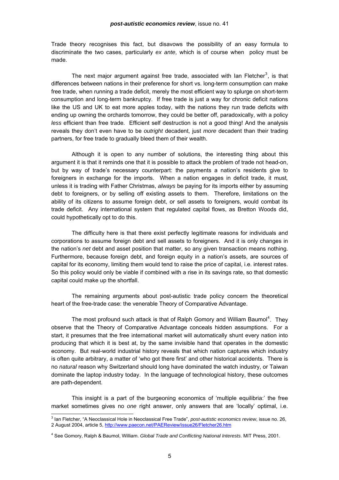Trade theory recognises this fact, but disavows the possibility of an easy formula to discriminate the two cases, particularly *ex ante*, which is of course when policy must be made.

The next major argument against free trade, associated with Ian Fletcher<sup>[3](#page-4-0)</sup>, is that differences between nations in their preference for short vs. long-term consumption can make free trade, when running a trade deficit, merely the most efficient way to splurge on short-term consumption and long-term bankruptcy. If free trade is just a way for chronic deficit nations like the US and UK to eat more apples today, with the nations they run trade deficits with ending up owning the orchards tomorrow, they could be better off, paradoxically, with a policy *less* efficient than free trade. Efficient self destruction is not a good thing! And the analysis reveals they don't even have to be *outright* decadent, just *more* decadent than their trading partners, for free trade to gradually bleed them of their wealth.

 Although it is open to any number of solutions, the interesting thing about this argument it is that it reminds one that it is possible to attack the problem of trade not head-on, but by way of trade's necessary counterpart: the payments a nation's residents give to foreigners in exchange for the imports. When a nation engages in deficit trade, it must*,*  unless it is trading with Father Christmas, *always* be paying for its imports either by assuming debt to foreigners, or by selling off existing assets to them. Therefore, limitations on the ability of its citizens to assume foreign debt, or sell assets to foreigners, would combat its trade deficit. Any international system that regulated capital flows, as Bretton Woods did, could hypothetically opt to do this.

 The difficulty here is that there exist perfectly legitimate reasons for individuals and corporations to assume foreign debt and sell assets to foreigners. And it is only changes in the nation's *net* debt and asset position that matter, so any given transaction means nothing. Furthermore, because foreign debt, and foreign equity in a nation's assets, are sources of capital for its economy, limiting them would tend to raise the price of capital, i.e. interest rates. So this policy would only be viable if combined with a rise in its savings rate, so that domestic capital could make up the shortfall.

 The remaining arguments about post-autistic trade policy concern the theoretical heart of the free-trade case: the venerable Theory of Comparative Advantage.

The most profound such attack is that of Ralph Gomory and William Baumol<sup>[4](#page-4-1)</sup>. They observe that the Theory of Comparative Advantage conceals hidden assumptions. For a start, it presumes that the free international market will automatically shunt every nation into producing that which it is best at, by the same invisible hand that operates in the domestic economy. But real-world industrial history reveals that which nation captures which industry is often quite arbitrary, a matter of 'who got there first' and other historical accidents. There is no *natural* reason why Switzerland should long have dominated the watch industry, or Taiwan dominate the laptop industry today. In the language of technological history, these outcomes are path-dependent.

 This insight is a part of the burgeoning economics of 'multiple equilibria:' the free market sometimes gives no *one* right answer, only answers that are 'locally' optimal, i.e.

<sup>3</sup> Ian Fletcher, "A Neoclassical Hole in Neoclassical Free Trade", *post-autistic economics review*, issue no. 26, 2 August 2004, article 5,<http://www.paecon.net/PAEReview/issue26/Fletcher26.htm>

<span id="page-4-1"></span><span id="page-4-0"></span><sup>4</sup> See Gomory, Ralph & Baumol, William. *Global Trade and Conflicting National Interests*. MIT Press, 2001.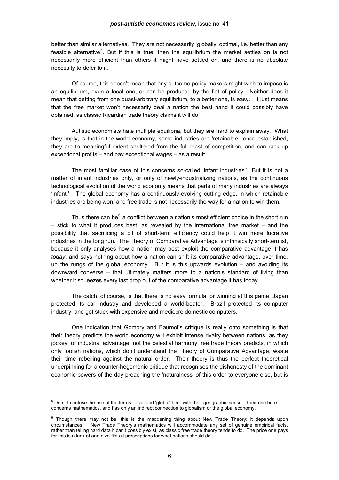#### *post-autistic economics review*, issue no. 41

better than similar alternatives. They are not necessarily 'globally' optimal, i.e. better than any feasible alternative<sup>[5](#page-5-0)</sup>. But if this is true, then the equilibrium the market settles on is not necessarily more efficient than others it might have settled on, and there is no absolute necessity to defer to it.

 Of course, this doesn't mean that any outcome policy-makers might wish to impose is an equilibrium, even a local one, or can be produced by the fiat of policy. Neither does it mean that getting from one quasi-arbitrary equilibrium, to a better one, is easy. It just means that the free market won't necessarily deal a nation the best hand it could possibly have obtained, as classic Ricardian trade theory claims it will do.

 Autistic economists hate multiple equilibria, but they are hard to explain away. What they imply, is that in the world economy, some industries are 'retainable:' once established, they are to meaningful extent sheltered from the full blast of competition, and can rack up exceptional profits – and pay exceptional wages – as a result.

 The most familiar case of this concerns so-called 'infant industries.' But it is not a matter of infant industries only, or only of newly-industrializing nations, as the continuous technological evolution of the world economy means that parts of many industries are always 'infant.' The global economy has a continuously-evolving cutting edge, in which retainable industries are being won, and free trade is not necessarily the way for a nation to win them.

Thus there can be<sup>[6](#page-5-1)</sup> a conflict between a nation's most efficient choice in the short run  $-$  stick to what it produces best, as revealed by the international free market  $-$  and the possibility that sacrificing a bit of short-term efficiency could help it win more lucrative industries in the long run. The Theory of Comparative Advantage is intrinsically short-termist, because it only analyses how a nation may best exploit the comparative advantage it has *today*, and says nothing about how a nation can shift its comparative advantage, over time, up the rungs of the global economy. But it is this upwards evolution – and avoiding its downward converse – that ultimately matters more to a nation's standard of living than whether it squeezes every last drop out of the comparative advantage it has today.

 The catch, of course, is that there is no easy formula for winning at this game. Japan protected its car industry and developed a world-beater. Brazil protected its computer industry, and got stuck with expensive and mediocre domestic computers.

 One indication that Gomory and Baumol's critique is really onto something is that their theory predicts the world economy will exhibit intense rivalry between nations, as they jockey for industrial advantage, not the celestial harmony free trade theory predicts, in which only foolish nations, which don't understand the Theory of Comparative Advantage, waste their time rebelling against the natural order. Their theory is thus the perfect theoretical underpinning for a counter-hegemonic critique that recognises the dishonesty of the dominant economic powers of the day preaching the 'naturalness' of this order to everyone else, but is

 5 Do not confuse the use of the terms 'local' and 'global' here with their geographic sense. Their use here concerns mathematics, and has only an indirect connection to globalism or the global economy.

<span id="page-5-1"></span><span id="page-5-0"></span><sup>&</sup>lt;sup>6</sup> Though there may not be; this is the maddening thing about New Trade Theory: it depends upon circumstances. New Trade Theory's mathematics will accommodate any set of genuine empirical facts, rather than telling hard data it can't possibly exist, as classic free trade theory tends to do. The price one pays for this is a lack of one-size-fits-all prescriptions for what nations should do.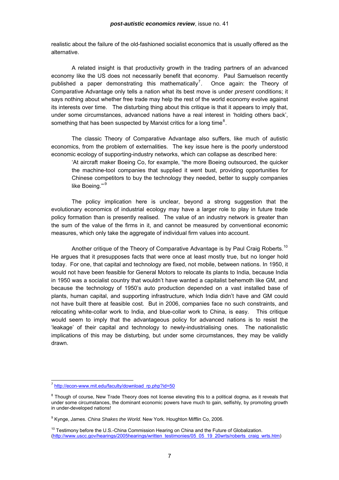realistic about the failure of the old-fashioned socialist economics that is usually offered as the alternative.

 A related insight is that productivity growth in the trading partners of an advanced economy like the US does not necessarily benefit that economy. Paul Samuelson recently published a paper demonstrating this mathematically<sup>[7](#page-6-0)</sup>. . Once again: the Theory of Comparative Advantage only tells a nation what its best move is under *present* conditions; it says nothing about whether free trade may help the rest of the world economy evolve against its interests over time. The disturbing thing about this critique is that it appears to imply that, under some circumstances, advanced nations have a real interest in 'holding others back', something that has been suspected by Marxist critics for a long time<sup>[8](#page-6-1)</sup>.

 The classic Theory of Comparative Advantage also suffers, like much of autistic economics, from the problem of externalities. The key issue here is the poorly understood economic ecology of supporting-industry networks, which can collapse as described here:

'At aircraft maker Boeing Co, for example, "the more Boeing outsourced, the quicker the machine-tool companies that supplied it went bust, providing opportunities for Chinese competitors to buy the technology they needed, better to supply companies like Boeing."'<sup>[9](#page-6-2)</sup>

 The policy implication here is unclear, beyond a strong suggestion that the evolutionary economics of industrial ecology may have a larger role to play in future trade policy formation than is presently realised. The value of an industry network is greater than the sum of the value of the firms in it, and cannot be measured by conventional economic measures, which only take the aggregate of individual firm values into account.

Another critique of the Theory of Comparative Advantage is by Paul Craig Roberts.<sup>[10](#page-6-3)</sup> He argues that it presupposes facts that were once at least mostly true, but no longer hold today. For one, that capital and technology are fixed, not mobile, between nations. In 1950, it would not have been feasible for General Motors to relocate its plants to India, because India in 1950 was a socialist country that wouldn't have wanted a capitalist behemoth like GM, and because the technology of 1950's auto production depended on a vast installed base of plants, human capital, and supporting infrastructure, which India didn't have and GM could not have built there at feasible cost. But in 2006, companies face no such constraints, and relocating white-collar work to India, and blue-collar work to China, is easy. This critique would seem to imply that the advantageous policy for advanced nations is to resist the 'leakage' of their capital and technology to newly-industrialising ones. The nationalistic implications of this may be disturbing, but under some circumstances, they may be validly drawn.

<span id="page-6-0"></span><sup>&</sup>lt;sup>7</sup> [http://econ-www.mit.edu/faculty/download\\_rp.php?id=50](http://econ-www.mit.edu/faculty/download_rp.php?id=50)

<span id="page-6-1"></span> $8$  Though of course, New Trade Theory does not license elevating this to a political dogma, as it reveals that under some circumstances, the dominant economic powers have much to gain, selfishly, by promoting growth in under-developed nations!

<span id="page-6-2"></span><sup>9</sup> Kynge, James. *China Shakes the World*. New York. Houghton Mifflin Co, 2006.

<span id="page-6-3"></span><sup>10</sup> Testimony before the U.S.-China Commission Hearing on China and the Future of Globalization. ([http://www.uscc.gov/hearings/2005hearings/written\\_testimonies/05\\_05\\_19\\_20wrts/roberts\\_craig\\_wrts.htm](http://www.uscc.gov/hearings/2005hearings/written_testimonies/05_05_19_20wrts/roberts_craig_wrts.htm))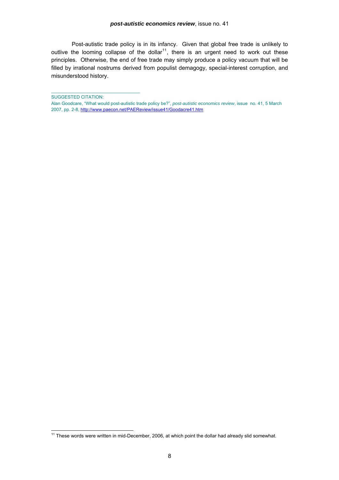Post-autistic trade policy is in its infancy. Given that global free trade is unlikely to outlive the looming collapse of the dollar<sup>[11](#page-7-0)</sup>, there is an urgent need to work out these principles. Otherwise, the end of free trade may simply produce a policy vacuum that will be filled by irrational nostrums derived from populist demagogy, special-interest corruption, and misunderstood history.

l

 $\_$  . The contribution of the contribution of  $\mathcal{L}_\mathcal{A}$ 

SUGGESTED CITATION:

Alan Goodcare, "What would post-autistic trade policy be?", *post-autistic economics review*, issue no. 41, 5 March 2007, pp. 2-8, <http://www.paecon.net/PAEReview/issue41/Goodacre41.htm>

<span id="page-7-0"></span> $11$  These words were written in mid-December, 2006, at which point the dollar had already slid somewhat.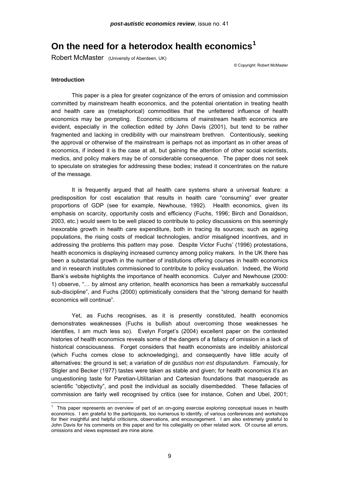# **On the need for a heterodox health economics[1](#page-8-0)**

Robert McMaster (University of Aberdeen, UK)

© Copyright: Robert McMaster

### **Introduction**

l

 This paper is a plea for greater cognizance of the errors of omission and commission committed by mainstream health economics, and the potential orientation in treating health and health care as (metaphorical) commodities that the unfettered influence of health economics may be prompting. Economic criticisms of mainstream health economics are evident, especially in the collection edited by John Davis (2001), but tend to be rather fragmented and lacking in credibility with our mainstream brethren. Contentiously, seeking the approval or otherwise of the mainstream is perhaps not as important as in other areas of economics, if indeed it is the case at all, but gaining the attention of other social scientists, medics, and policy makers may be of considerable consequence. The paper does not seek to speculate on strategies for addressing these bodies; instead it concentrates on the nature of the message.

It is frequently argued that *all* health care systems share a universal feature: a predisposition for cost escalation that results in health care "consuming" ever greater proportions of GDP (see for example, Newhouse, 1992). Health economics, given its emphasis on scarcity, opportunity costs and efficiency (Fuchs, 1996; Birch and Donaldson, 2003, etc.) would seem to be well placed to contribute to policy discussions on this seemingly inexorable growth in health care expenditure, both in tracing its sources; such as ageing populations, the rising costs of medical technologies, and/or misaligned incentives, and in addressing the problems this pattern may pose. Despite Victor Fuchs' (1996) protestations, health economics is displaying increased currency among policy makers. In the UK there has been a substantial growth in the number of institutions offering courses in health economics and in research institutes commissioned to contribute to policy evaluation. Indeed, the World Bank's website highlights the importance of health economics. Culyer and Newhouse (2000: 1) observe, "… by almost any criterion, health economics has been a remarkably successful sub-discipline", and Fuchs (2000) optimistically considers that the "strong demand for health economics will continue".

Yet, as Fuchs recognises, as it is presently constituted, health economics demonstrates weaknesses (Fuchs is bullish about overcoming those weaknesses he identifies, I am much less so). Evelyn Forget's (2004) excellent paper on the contested histories of health economics reveals some of the dangers of a fallacy of omission in a lack of historical consciousness. Forget considers that health economists are indelibly ahistorical (which Fuchs comes close to acknowledging), and consequently have little acuity of alternatives: the ground is set; a variation of *de gustibus non est disputandum*. Famously, for Stigler and Becker (1977) tastes were taken as stable and given; for health economics it's an unquestioning taste for Paretian-Utilitarian and Cartesian foundations that masquerade as scientific "objectivity", and posit the individual as socially disembedded. These fallacies of commission are fairly well recognised by critics (see for instance, Cohen and Ubel, 2001;

<span id="page-8-0"></span><sup>1</sup> This paper represents an overview of part of an on-going exercise exploring conceptual issues in health economics. I am grateful to the participants, too numerous to identify, of various conferences and workshops for their insightful and helpful criticisms, observations, and encouragement. I am also extremely grateful to John Davis for his comments on this paper and for his collegiality on other related work. Of course all errors, omissions and views expressed are mine alone.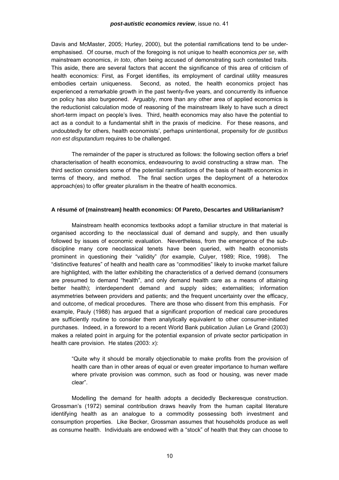Davis and McMaster, 2005; Hurley, 2000), but the potential ramifications tend to be underemphasised. Of course, much of the foregoing is not unique to health economics *per se*, with mainstream economics, *in toto*, often being accused of demonstrating such contested traits. This aside, there are several factors that accent the significance of this area of criticism of health economics: First, as Forget identifies, its employment of cardinal utility measures embodies certain uniqueness. Second, as noted, the health economics project has experienced a remarkable growth in the past twenty-five years, and concurrently its influence on policy has also burgeoned. Arguably, more than any other area of applied economics is the reductionist calculation mode of reasoning of the mainstream likely to have such a direct short-term impact on people's lives. Third, health economics may also have the potential to act as a conduit to a fundamental shift in the praxis of medicine. For these reasons, and undoubtedly for others, health economists', perhaps unintentional, propensity for *de gustibus non est disputandum* requires to be challenged.

The remainder of the paper is structured as follows: the following section offers a brief characterisation of health economics, endeavouring to avoid constructing a straw man. The third section considers some of the potential ramifications of the basis of health economics in terms of theory, and method. The final section urges the deployment of a heterodox approach(es) to offer greater pluralism in the theatre of health economics.

### **A résumé of (mainstream) health economics: Of Pareto, Descartes and Utilitarianism?**

 Mainstream health economics textbooks adopt a familiar structure in that material is organised according to the neoclassical dual of demand and supply, and then usually followed by issues of economic evaluation. Nevertheless, from the emergence of the subdiscipline many core neoclassical tenets have been queried, with health economists prominent in questioning their "validity" (for example, Culyer, 1989; Rice, 1998). The "distinctive features" of health and health care as "commodities" likely to invoke market failure are highlighted, with the latter exhibiting the characteristics of a derived demand (consumers are presumed to demand "health", and only demand health care as a means of attaining better health); interdependent demand and supply sides; externalities; information asymmetries between providers and patients; and the frequent uncertainty over the efficacy, and outcome, of medical procedures. There are those who dissent from this emphasis. For example, Pauly (1988) has argued that a significant proportion of medical care procedures are sufficiently routine to consider them analytically equivalent to other consumer-initiated purchases. Indeed, in a foreword to a recent World Bank publication Julian Le Grand (2003) makes a related point in arguing for the potential expansion of private sector participation in health care provision. He states (2003: *x*):

"Quite why it should be morally objectionable to make profits from the provision of health care than in other areas of equal or even greater importance to human welfare where private provision was common, such as food or housing, was never made clear".

Modelling the demand for health adopts a decidedly Beckeresque construction. Grossman's (1972) seminal contribution draws heavily from the human capital literature identifying health as an analogue to a commodity possessing both investment and consumption properties. Like Becker, Grossman assumes that households produce as well as consume health. Individuals are endowed with a "stock" of health that they can choose to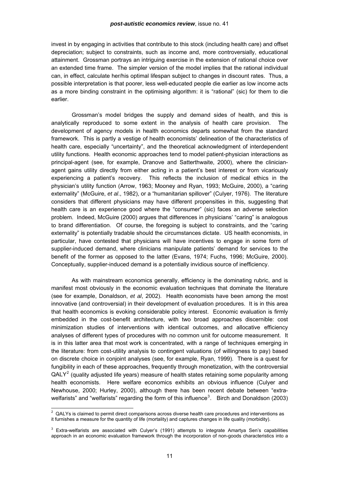<span id="page-10-0"></span>invest in by engaging in activities that contribute to this stock (including health care) and offset depreciation; subject to constraints, such as income and, more controversially, educational attainment. Grossman portrays an intriguing exercise in the extension of rational choice over an extended time frame. The simpler version of the model implies that the rational individual can, in effect, calculate her/his optimal lifespan subject to changes in discount rates. Thus, a possible interpretation is that poorer, less well-educated people die earlier as low income acts as a more binding constraint in the optimising algorithm: it is "rational" (sic) for them to die earlier.

Grossman's model bridges the supply and demand sides of health, and this is analytically reproduced to some extent in the analysis of health care provision. The development of agency models in health economics departs somewhat from the standard framework. This is partly a vestige of health economists' delineation of the characteristics of health care, especially "uncertainty", and the theoretical acknowledgment of interdependent utility functions. Health economic approaches tend to model patient-physician interactions as principal-agent (see, for example, Dranove and Satterthwaite, 2000), where the clinicianagent gains utility directly from either acting in a patient's best interest or from vicariously experiencing a patient's recovery. This reflects the inclusion of medical ethics in the physician's utility function (Arrow, 1963; Mooney and Ryan, 1993; McGuire, 2000), a "caring externality" (McGuire, *et al*., 1982), or a "humanitarian spillover" (Culyer, 1976). The literature considers that different physicians may have different propensities in this, suggesting that health care is an experience good where the "consumer" (sic) faces an adverse selection problem. Indeed, McGuire (2000) argues that differences in physicians' "caring" is analogous to brand differentiation. Of course, the foregoing is subject to constraints, and the "caring externality" is potentially tradable should the circumstances dictate. US health economists, in particular, have contested that physicians will have incentives to engage in some form of supplier-induced demand, where clinicians manipulate patients' demand for services to the benefit of the former as opposed to the latter (Evans, 1974; Fuchs, 1996; McGuire, 2000). Conceptually, supplier-induced demand is a potentially invidious source of inefficiency.

As with mainstream economics generally, efficiency is the dominating rubric, and is manifest most obviously in the economic evaluation techniques that dominate the literature (see for example, Donaldson, *et al*, 2002). Health economists have been among the most innovative (and controversial) in their development of evaluation procedures. It is in this area that health economics is evoking considerable policy interest. Economic evaluation is firmly embedded in the cost-benefit architecture, with two broad approaches discernible: cost minimization studies of interventions with identical outcomes, and allocative efficiency analyses of different types of procedures with no common unit for outcome measurement. It is in this latter area that most work is concentrated, with a range of techniques emerging in the literature: from cost-utility analysis to contingent valuations (of willingness to pay) based on discrete choice in conjoint analyses (see, for example, Ryan, 1999). There is a quest for fungibility in each of these approaches, frequently through monetization, with the controversial  $QALY<sup>2</sup>$  $QALY<sup>2</sup>$  $QALY<sup>2</sup>$  (quality adjusted life years) measure of health states retaining some popularity among health economists. Here welfare economics exhibits an obvious influence (Culyer and Newhouse, 2000; Hurley, 2000), although there has been recent debate between "extra-welfarists" and "welfarists" regarding the form of this influence<sup>[3](#page-10-0)</sup>. Birch and Donaldson (2003)

<sup>2</sup> QALYs is claimed to permit direct comparisons across diverse health care procedures and interventions as it furnishes a measure for the quantity of life (mortality) and captures changes in life quality (morbidity).

 $3$  Extra-welfarists are associated with Culyer's (1991) attempts to integrate Amartya Sen's capabilities approach in an economic evaluation framework through the incorporation of non-goods characteristics into a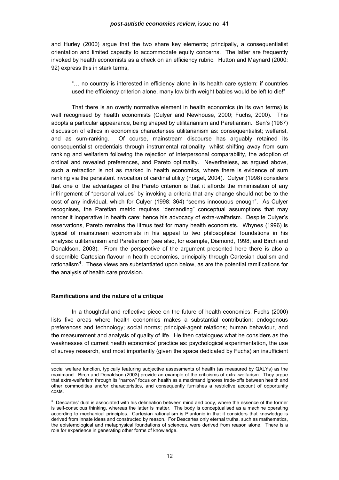<span id="page-11-0"></span>and Hurley (2000) argue that the two share key elements; principally, a consequentialist orientation and limited capacity to accommodate equity concerns. The latter are frequently invoked by health economists as a check on an efficiency rubric. Hutton and Maynard (2000: 92) express this in stark terms,

"… no country is interested in efficiency alone in its health care system: if countries used the efficiency criterion alone, many low birth weight babies would be left to die!"

That there is an overtly normative element in health economics (in its own terms) is well recognised by health economists (Culyer and Newhouse, 2000; Fuchs, 2000). This adopts a particular appearance, being shaped by utilitarianism and Paretianism. Sen's (1987) discussion of ethics in economics characterises utilitarianism as: consequentialist; welfarist, and as sum-ranking. Of course, mainstream discourse has arguably retained its consequentialist credentials through instrumental rationality, whilst shifting away from sum ranking and welfarism following the rejection of interpersonal comparability, the adoption of ordinal and revealed preferences, and Pareto optimality. Nevertheless, as argued above, such a retraction is not as marked in health economics, where there is evidence of sum ranking via the persistent invocation of cardinal utility (Forget, 2004). Culyer (1998) considers that one of the advantages of the Pareto criterion is that it affords the minimisation of any infringement of "personal values" by invoking a criteria that any change should not be to the cost of any individual, which for Culyer (1998: 364) "seems innocuous enough". As Culyer recognises, the Paretian metric requires "demanding" conceptual assumptions that may render it inoperative in health care: hence his advocacy of extra-welfarism. Despite Culyer's reservations, Pareto remains the litmus test for many health economists. Whynes (1996) is typical of mainstream economists in his appeal to two philosophical foundations in his analysis: utilitarianism and Paretianism (see also, for example, Diamond, 1998, and Birch and Donaldson, 2003). From the perspective of the argument presented here there is also a discernible Cartesian flavour in health economics, principally through Cartesian dualism and rationalism<sup>[4](#page-11-0)</sup>. These views are substantiated upon below, as are the potential ramifications for the analysis of health care provision.

### **Ramifications and the nature of a critique**

l

 In a thoughtful and reflective piece on the future of health economics, Fuchs (2000) lists five areas where health economics makes a substantial contribution: endogenous preferences and technology; social norms; principal-agent relations; human behaviour, and the measurement and analysis of quality of life. He then catalogues what he considers as the weaknesses of current health economics' practice as: psychological experimentation, the use of survey research, and most importantly (given the space dedicated by Fuchs) an insufficient

social welfare function, typically featuring subjective assessments of health (as measured by QALYs) as the maximand. Birch and Donaldson (2003) provide an example of the criticisms of extra-welfarism. They argue that extra-welfarism through its "narrow" focus on health as a maximand ignores trade-offs between health and other commodities and/or characteristics, and consequently furnishes a restrictive account of opportunity costs.

<sup>&</sup>lt;sup>4</sup> Descartes' dual is associated with his delineation between mind and body, where the essence of the former is self-conscious thinking, whereas the latter is matter. The body is conceptualised as a machine operating according to mechanical principles. Cartesian rationalism is Plantonic in that it considers that knowledge is derived from innate ideas and constructed by reason. For Descartes only eternal truths, such as mathematics, the epistemological and metaphysical foundations of sciences, were derived from reason alone. There is a role for experience in generating other forms of knowledge.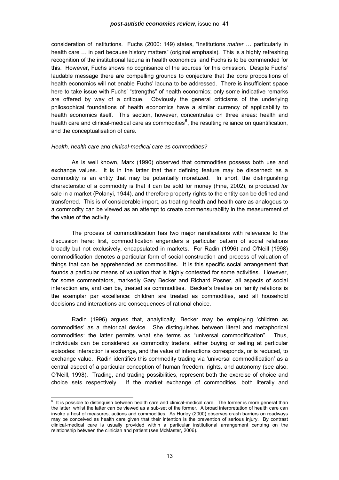<span id="page-12-0"></span>consideration of institutions. Fuchs (2000: 149) states, "Institutions *matter* … particularly in health care … in part because history matters" (original emphasis). This is a highly refreshing recognition of the institutional lacuna in health economics, and Fuchs is to be commended for this. However, Fuchs shows no cognisance of the sources for this omission. Despite Fuchs' laudable message there are compelling grounds to conjecture that the core propositions of health economics will not enable Fuchs' lacuna to be addressed. There is insufficient space here to take issue with Fuchs' "strengths" of health economics; only some indicative remarks are offered by way of a critique. Obviously the general criticisms of the underlying philosophical foundations of health economics have a similar currency of applicability to health economics itself. This section, however, concentrates on three areas: health and health care and clinical-medical care as commodities<sup>[5](#page-12-0)</sup>, the resulting reliance on quantification, and the conceptualisation of care.

### *Health, health care and clinical-medical care as commodities?*

 As is well known, Marx (1990) observed that commodities possess both use and exchange values. It is in the latter that their defining feature may be discerned: as a commodity is an entity that may be potentially monetized. In short, the distinguishing characteristic of a commodity is that it can be sold for money (Fine, 2002), is produced *for* sale in a market (Polanyi, 1944), and therefore property rights to the entity can be defined and transferred. This is of considerable import, as treating health and health care as analogous to a commodity can be viewed as an attempt to create commensurability in the measurement of the value of the activity.

The process of commodification has two major ramifications with relevance to the discussion here: first, commodification engenders a particular pattern of social relations broadly but not exclusively, encapsulated in markets. For Radin (1996) and O'Neill (1998) commodification denotes a particular form of social construction and process of valuation of things that can be apprehended as commodities. It is this specific social arrangement that founds a particular means of valuation that is highly contested for some activities. However, for some commentators, markedly Gary Becker and Richard Posner, all aspects of social interaction are, and can be, treated as commodities. Becker's treatise on family relations is the exemplar par excellence: children are treated as commodities, and all household decisions and interactions are consequences of rational choice.

Radin (1996) argues that, analytically, Becker may be employing 'children as commodities' as a rhetorical device. She distinguishes between literal and metaphorical commodities: the latter permits what she terms as "universal commodification". Thus, individuals can be considered as commodity traders, either buying or selling at particular episodes: interaction is exchange, and the value of interactions corresponds, or is reduced, to exchange value. Radin identifies this commodity trading via 'universal commodification' as a central aspect of a particular conception of human freedom, rights, and autonomy (see also, O'Neill, 1998). Trading, and trading possibilities, represent both the exercise of choice and choice sets respectively. If the market exchange of commodities, both literally and

 5 It is possible to distinguish between health care and clinical-medical care. The former is more general than the latter, whilst the latter can be viewed as a sub-set of the former. A broad interpretation of health care can invoke a host of measures, actions and commodities. As Hurley (2000) observes crash barriers on roadways may be conceived as health care given that their intention is the prevention of serious injury. By contrast clinical-medical care is usually provided within a particular institutional arrangement centring on the relationship between the clinician and patient (see McMaster, 2006).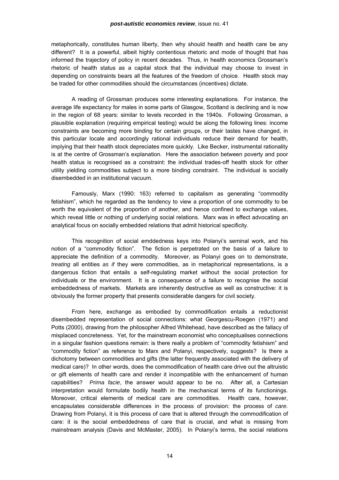metaphorically, constitutes human liberty, then why should health and health care be any different? It is a powerful, albeit highly contentious rhetoric and mode of thought that has informed the trajectory of policy in recent decades. Thus, in health economics Grossman's rhetoric of health status as a capital stock that the individual may choose to invest in depending on constraints bears all the features of the freedom of choice. Health stock may be traded for other commodities should the circumstances (incentives) dictate.

A reading of Grossman produces some interesting explanations. For instance, the average life expectancy for males in some parts of Glasgow, Scotland is declining and is now in the region of 68 years: similar to levels recorded in the 1940s. Following Grossman, a plausible explanation (requiring empirical testing) would be along the following lines: income constraints are becoming more binding for certain groups, or their tastes have changed, in this particular locale and accordingly rational individuals reduce their demand for health, implying that their health stock depreciates more quickly. Like Becker, instrumental rationality is at the centre of Grossman's explanation. Here the association between poverty and poor health status is recognised as a constraint: the individual trades-off health stock for other utility yielding commodities subject to a more binding constraint. The individual is socially disembedded in an institutional vacuum.

Famously, Marx (1990: 163) referred to capitalism as generating "commodity fetishism", which he regarded as the tendency to view a proportion of one commodity to be worth the equivalent of the proportion of another, and hence confined to exchange values, which reveal little or nothing of underlying social relations. Marx was in effect advocating an analytical focus on socially embedded relations that admit historical specificity.

This recognition of social emddedness keys into Polanyi's seminal work, and his notion of a "commodity fiction". The fiction is perpetrated on the basis of a failure to appreciate the definition of a commodity. Moreover, as Polanyi goes on to demonstrate, *treating* all entities *as if* they were commodities, as in metaphorical representations, is a dangerous fiction that entails a self-regulating market without the social protection for individuals or the environment. It is a consequence of a failure to recognise the social embeddedness of markets. Markets are inherently destructive as well as constructive: it is obviously the former property that presents considerable dangers for civil society.

From here, exchange as embodied by commodification entails a reductionist disembedded representation of social connections: what Georgescu-Roegen (1971) and Potts (2000), drawing from the philosopher Alfred Whitehead, have described as the fallacy of misplaced concreteness. Yet, for the mainstream economist who conceptualises connections in a singular fashion questions remain: is there really a problem of "commodity fetishism" and "commodity fiction" as reference to Marx and Polanyi, respectively, suggests? Is there a dichotomy between commodities and gifts (the latter frequently associated with the delivery of medical care)? In other words, does the commodification of health care drive out the altruistic or gift elements of health care and render it incompatible with the enhancement of human capabilities? *Prima facie*, the answer would appear to be no. After all, a Cartesian interpretation would formulate bodily health in the mechanical terms of its functionings. Moreover, critical elements of medical care are commodities. Health care, however, encapsulates considerable differences in the process of provision: the process of *care*. Drawing from Polanyi, it is this process of care that is altered through the commodification of care: it is the social embeddedness of care that is crucial, and what is missing from mainstream analysis (Davis and McMaster, 2005). In Polanyi's terms, the social relations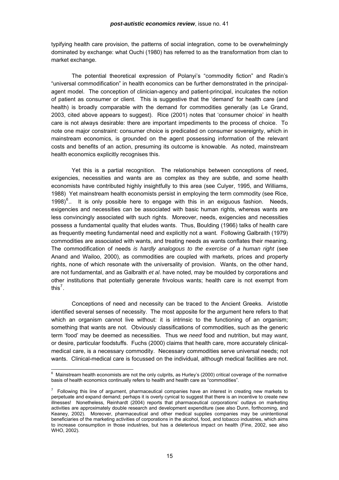<span id="page-14-0"></span>typifying health care provision, the patterns of social integration, come to be overwhelmingly dominated by exchange: what Ouchi (1980) has referred to as the transformation from clan to market exchange.

The potential theoretical expression of Polanyi's "commodity fiction" and Radin's "universal commodification" in health economics can be further demonstrated in the principalagent model. The conception of clinician-agency and patient-principal, inculcates the notion of patient as consumer or client. This is suggestive that the 'demand' for health care (and health) is broadly comparable with the demand for commodities generally (as Le Grand, 2003, cited above appears to suggest). Rice (2001) notes that 'consumer choice' in health care is not always desirable: there are important impediments to the process of choice. To note one major constraint: consumer choice is predicated on consumer sovereignty, which in mainstream economics, is grounded on the agent possessing information of the relevant costs and benefits of an action, presuming its outcome is knowable. As noted, mainstream health economics explicitly recognises this.

Yet this is a partial recognition. The relationships between conceptions of need, exigencies, necessities and wants are as complex as they are subtle, and some health economists have contributed highly insightfully to this area (see Culyer, 1995, and Williams, 1988) Yet mainstream health economists persist in employing the term commodity (see Rice, 1998) $<sup>6</sup>$  $<sup>6</sup>$  $<sup>6</sup>$ .. It is only possible here to engage with this in an exiguous fashion. Needs,</sup> exigencies and necessities can be associated with basic human rights, whereas wants are less convincingly associated with such rights. Moreover, needs, exigencies and necessities possess a fundamental quality that eludes wants. Thus, Boulding (1966) talks of health care as frequently meeting fundamental need and explicitly not a want. Following Galbraith (1979) commodities are associated with wants, and treating needs as wants conflates their meaning. The commodification of needs *is hardly analogous to the exercise of a human right* (see Anand and Wailoo, 2000), as commodities are coupled with markets, prices and property rights, none of which resonate with the universality of provision. Wants, on the other hand, are not fundamental, and as Galbraith *et al*. have noted, may be moulded by corporations and other institutions that potentially generate frivolous wants; health care is not exempt from this $^7$  $^7$ .

Conceptions of need and necessity can be traced to the Ancient Greeks. Aristotle identified several senses of necessity. The most apposite for the argument here refers to that which an organism cannot live without: it is intrinsic to the functioning of an organism; something that wants are not. Obviously classifications of commodities, such as the generic term 'food' may be deemed as necessities. Thus we *need* food and nutrition, but may *want*, or desire, particular foodstuffs. Fuchs (2000) claims that health care, more accurately clinicalmedical care, is a necessary commodity. Necessary commodities serve universal needs; not wants. Clinical-medical care is focussed on the individual, although medical facilities are not.

 6 Mainstream health economists are not the only culprits, as Hurley's (2000) critical coverage of the normative basis of health economics continually refers to health and health care as "commodities".

 $7$  Following this line of argument, pharmaceutical companies have an interest in creating new markets to perpetuate and expand demand; perhaps it is overly cynical to suggest that there is an incentive to create new illnesses! Nonetheless, Reinhardt (2004) reports that pharmaceutical corporations' outlays on marketing activities are approximately double research and development expenditure (see also Dunn, forthcoming, and Keaney, 2002). Moreover, pharmaceutical and other medical supplies companies may be unintentional beneficiaries of the marketing activities of corporations in the alcohol, food, and tobacco industries, which aims to increase consumption in those industries, but has a deleterious impact on health (Fine, 2002, see also WHO, 2002).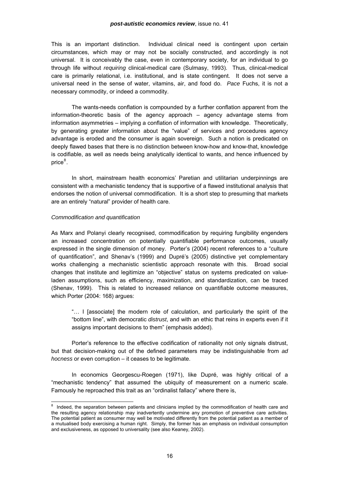<span id="page-15-0"></span>This is an important distinction. Individual clinical need is contingent upon certain circumstances, which may or may not be socially constructed, and accordingly is not universal. It is conceivably the case, even in contemporary society, for an individual to go through life without *requiring* clinical-medical care (Sulmasy, 1993). Thus, clinical-medical care is primarily relational, i.e. institutional, and is state contingent. It does not serve a universal need in the sense of water, vitamins, air, and food do. *Pace* Fuchs, it is not a necessary commodity, or indeed a commodity.

The wants-needs conflation is compounded by a further conflation apparent from the information-theoretic basis of the agency approach – agency advantage stems from information asymmetries – implying a conflation of information with knowledge. Theoretically, by generating greater information about the "value" of services and procedures agency advantage is eroded and the consumer is again sovereign. Such a notion is predicated on deeply flawed bases that there is no distinction between know-how and know-that, knowledge is codifiable, as well as needs being analytically identical to wants, and hence influenced by price $^8$  $^8$ .

In short, mainstream health economics' Paretian and utilitarian underpinnings are consistent with a mechanistic tendency that is supportive of a flawed institutional analysis that endorses the notion of universal commodification. It is a short step to presuming that markets are an entirely "natural" provider of health care.

### *Commodification and quantification*

As Marx and Polanyi clearly recognised, commodification by requiring fungibility engenders an increased concentration on potentially quantifiable performance outcomes, usually expressed in the single dimension of money. Porter's (2004) recent references to a "culture of quantification", and Shenav's (1999) and Dupré's (2005) distinctive yet complementary works challenging a mechanistic scientistic approach resonate with this. Broad social changes that institute and legitimize an "objective" status on systems predicated on valueladen assumptions, such as efficiency, maximization, and standardization, can be traced (Shenav, 1999). This is related to increased reliance on quantifiable outcome measures, which Porter (2004: 168) argues:

"… I [associate] the modern role of calculation, and particularly the spirit of the "bottom line", with democratic *distrust*, and with an ethic that reins in experts even if it assigns important decisions to them" (emphasis added).

Porter's reference to the effective codification of rationality not only signals distrust, but that decision-making out of the defined parameters may be indistinguishable from *ad hocness* or even corruption – it ceases to be legitimate.

In economics Georgescu-Roegen (1971), like Dupré, was highly critical of a "mechanistic tendency" that assumed the ubiquity of measurement on a numeric scale. Famously he reproached this trait as an "ordinalist fallacy" where there is,

<sup>&</sup>lt;sup>8</sup> Indeed, the separation between patients and clinicians implied by the commodification of health care and the resulting agency relationship may inadvertently undermine any promotion of preventive care activities. The potential patient as consumer may well be motivated differently from the potential patient as a member of a mutualised body exercising a human right. Simply, the former has an emphasis on individual consumption and exclusiveness, as opposed to universality (see also Keaney, 2002).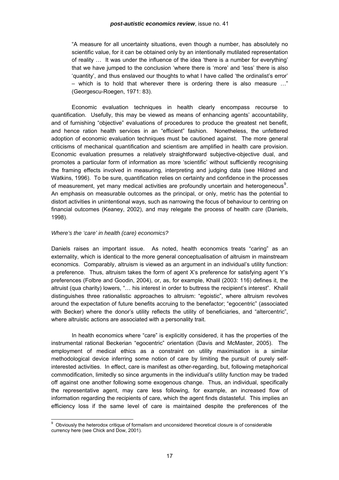<span id="page-16-0"></span>"A measure for all uncertainty situations, even though a number, has absolutely no scientific value, for it can be obtained only by an intentionally mutilated representation of reality … It was under the influence of the idea 'there is a number for everything' that we have jumped to the conclusion 'where there is 'more' and 'less' there is also 'quantity', and thus enslaved our thoughts to what I have called 'the ordinalist's error' – which is to hold that wherever there is ordering there is also measure …" (Georgescu-Roegen, 1971: 83).

Economic evaluation techniques in health clearly encompass recourse to quantification. Usefully, this may be viewed as means of enhancing agents' accountability, and of furnishing "objective" evaluations of procedures to produce the greatest net benefit, and hence ration health services in an "efficient" fashion. Nonetheless, the unfettered adoption of economic evaluation techniques must be cautioned against. The more general criticisms of mechanical quantification and scientism are amplified in health care provision. Economic evaluation presumes a relatively straightforward subjective-objective dual, and promotes a particular form of information as more 'scientific' without sufficiently recognising the framing effects involved in measuring, interpreting and judging data (see Hildred and Watkins, 1996). To be sure, quantification relies on certainty and confidence in the processes of measurement, yet many medical activities are profoundly uncertain and heterogeneous<sup>[9](#page-16-0)</sup>. An emphasis on measurable outcomes as the principal, or only, metric has the potential to distort activities in unintentional ways, such as narrowing the focus of behaviour to centring on financial outcomes (Keaney, 2002), and may relegate the process of health *care* (Daniels, 1998).

### *Where's the 'care' in health (care) economics?*

l

Daniels raises an important issue. As noted, health economics treats "caring" as an externality, which is identical to the more general conceptualisation of altruism in mainstream economics. Comparably, altruism is viewed as an argument in an individual's utility function: a preference. Thus, altruism takes the form of agent X's preference for satisfying agent Y's preferences (Folbre and Goodin, 2004), or, as, for example, Khalil (2003: 116) defines it, the altruist (qua charity) lowers, "… his interest in order to buttress the recipient's interest". Khalil distinguishes three rationalistic approaches to altruism: "egoistic", where altruism revolves around the expectation of future benefits accruing to the benefactor; "egocentric" (associated with Becker) where the donor's utility reflects the utility of beneficiaries, and "altercentric", where altruistic actions are associated with a personality trait.

In health economics where "care" is explicitly considered, it has the properties of the instrumental rational Beckerian "egocentric" orientation (Davis and McMaster, 2005). The employment of medical ethics as a constraint on utility maximisation is a similar methodological device inferring some notion of care by limiting the pursuit of purely selfinterested activities. In effect, care is manifest as other-regarding, but, following metaphorical commodification, limitedly so since arguments in the individual's utility function may be traded off against one another following some exogenous change. Thus, an individual, specifically the representative agent, may care less following, for example, an increased flow of information regarding the recipients of care, which the agent finds distasteful. This implies an efficiency loss if the same level of care is maintained despite the preferences of the

<sup>&</sup>lt;sup>9</sup> Obviously the heterodox critique of formalism and unconsidered theoretical closure is of considerable currency here (see Chick and Dow, 2001).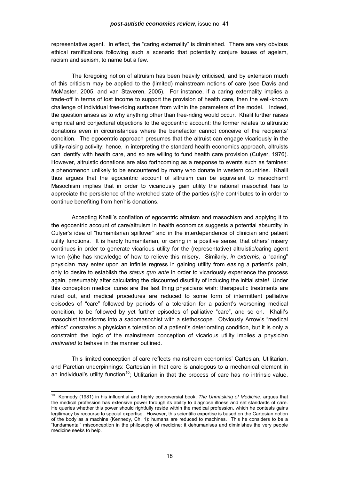<span id="page-17-0"></span>representative agent. In effect, the "caring externality" is diminished. There are very obvious ethical ramifications following such a scenario that potentially conjure issues of ageism, racism and sexism, to name but a few.

The foregoing notion of altruism has been heavily criticised, and by extension much of this criticism may be applied to the (limited) mainstream notions of care (see Davis and McMaster, 2005, and van Staveren, 2005). For instance, if a caring externality implies a trade-off in terms of lost income to support the provision of health care, then the well-known challenge of individual free-riding surfaces from within the parameters of the model. Indeed, the question arises as to why anything other than free-riding would occur. Khalil further raises empirical and conjectural objections to the egocentric account: the former relates to altruistic donations even in circumstances where the benefactor cannot conceive of the recipients' condition. The egocentric approach presumes that the altruist can engage vicariously in the utility-raising activity: hence, in interpreting the standard health economics approach, altruists can identify with health care, and so are willing to fund health care provision (Culyer, 1976). However, altruistic donations are also forthcoming as a response to events such as famines: a phenomenon unlikely to be encountered by many who donate in western countries. Khalil thus argues that the egocentric account of altruism can be equivalent to masochism! Masochism implies that in order to vicariously gain utility the rational masochist has to appreciate the persistence of the wretched state of the parties (s)he contributes to in order to continue benefiting from her/his donations.

Accepting Khalil's conflation of egocentric altruism and masochism and applying it to the egocentric account of care/altruism in health economics suggests a potential absurdity in Culyer's idea of "humanitarian spillover" and in the interdependence of clinician and patient utility functions. It is hardly humanitarian, or caring in a positive sense, that others' misery continues in order to generate vicarious utility for the (representative) altruistic/caring agent when (s)he has knowledge of how to relieve this misery. Similarly, *in extremis*, a "caring" physician may enter upon an infinite regress in gaining utility from easing a patient's pain, only to desire to establish the *status quo ante* in order to vicariously experience the process again, presumably after calculating the discounted disutility of inducing the initial state! Under this conception medical cures are the last thing physicians wish: therapeutic treatments are ruled out, and medical procedures are reduced to some form of intermittent palliative episodes of "care" followed by periods of a toleration for a patient's worsening medical condition, to be followed by yet further episodes of palliative "care", and so on. Khalil's masochist transforms into a sadomasochist with a stethoscope. Obviously Arrow's "medical ethics" *constrains* a physician's toleration of a patient's deteriorating condition, but it is only a constraint: the logic of the mainstream conception of vicarious utility implies a physician *motivated* to behave in the manner outlined.

This limited conception of care reflects mainstream economics' Cartesian, Utilitarian, and Paretian underpinnings: Cartesian in that care is analogous to a mechanical element in an individual's utility function<sup>[10](#page-17-0)</sup>; Utilitarian in that the process of care has no intrinsic value,

<sup>10</sup> Kennedy (1981) in his influential and highly controversial book, *The Unmasking of Medicine*, argues that the medical profession has extensive power through its ability to diagnose illness and set standards of care. He queries whether this power should rightfully reside within the medical profession, which he contests gains legitimacy by recourse to special expertise. However, this scientific expertise is based on the Cartesian notion of the body as a machine (Kennedy, Ch. 1): humans are reduced to machines. This he considers to be a "fundamental" misconception in the philosophy of medicine: it dehumanises and diminishes the very people medicine seeks to help.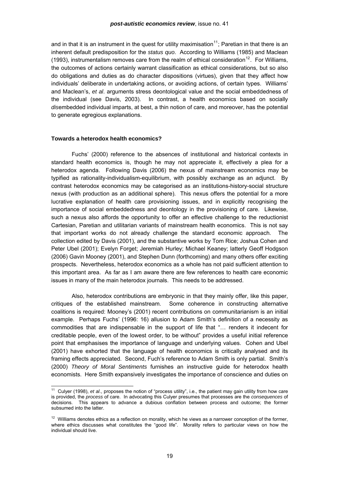<span id="page-18-0"></span>and in that it is an instrument in the quest for utility maximisation<sup>[11](#page-18-0)</sup>; Paretian in that there is an inherent default predisposition for the *status quo*. According to Williams (1985) and Maclean (1993), instrumentalism removes care from the realm of ethical consideration<sup>[12](#page-18-0)</sup>. For Williams, the outcomes of actions certainly warrant classification as ethical considerations, but so also do obligations and duties as do character dispositions (virtues), given that they affect how individuals' deliberate in undertaking actions, or avoiding actions, of certain types. Williams' and Maclean's, *et al*. arguments stress deontological value and the social embeddedness of the individual (see Davis, 2003). In contrast, a health economics based on socially *dis*embedded individual imparts, at best, a thin notion of care, and moreover, has the potential to generate egregious explanations.

### **Towards a heterodox health economics?**

l

 Fuchs' (2000) reference to the absences of institutional and historical contexts in standard health economics is, though he may not appreciate it, effectively a plea for a heterodox agenda. Following Davis (2006) the nexus of mainstream economics may be typified as rationality-individualism-equilibrium, with possibly exchange as an adjunct. By contrast heterodox economics may be categorised as an institutions-history-social structure nexus (with production as an additional sphere). This nexus offers the potential for a more lucrative explanation of health care provisioning issues, and in explicitly recognising the importance of social embeddedness and deontology in the provisioning of care. Likewise, such a nexus also affords the opportunity to offer an effective challenge to the reductionist Cartesian, Paretian and utilitarian variants of mainstream health economics. This is not say that important works do not already challenge the standard economic approach. The collection edited by Davis (2001), and the substantive works by Tom Rice; Joshua Cohen and Peter Ubel (2001); Evelyn Forget; Jeremiah Hurley; Michael Keaney; latterly Geoff Hodgson (2006) Gavin Mooney (2001), and Stephen Dunn (forthcoming) and many others offer exciting prospects. Nevertheless, heterodox economics as a whole has not paid sufficient attention to this important area. As far as I am aware there are few references to health care economic issues in many of the main heterodox journals. This needs to be addressed.

Also, heterodox contributions are embryonic in that they mainly offer, like this paper, critiques of the established mainstream. Some coherence in constructing alternative coalitions is required: Mooney's (2001) recent contributions on communitarianism is an initial example. Perhaps Fuchs' (1996: 16) allusion to Adam Smith's definition of a necessity as commodities that are indispensable in the support of life that "… renders it indecent for creditable people, even of the lowest order, to be without" provides a useful initial reference point that emphasises the importance of language and underlying values. Cohen and Ubel (2001) have exhorted that the language of health economics is critically analysed and its framing effects appreciated. Second, Fuch's reference to Adam Smith is only partial. Smith's (2000) *Theory of Moral Sentiments* furnishes an instructive guide for heterodox health economists. Here Smith expansively investigates the importance of conscience and duties on

<sup>11</sup> Culyer (1998), *et al*., proposes the notion of "process utility", i.e., the patient may gain utility from how care is provided, the *process* of care. In advocating this Culyer presumes that processes are the *consequences* of decisions. This appears to advance a dubious conflation between process and outcome; the former subsumed into the latter.

 $12$  Williams denotes ethics as a reflection on morality, which he views as a narrower conception of the former, where ethics discusses what constitutes the "good life". Morality refers to particular views on how the individual should live.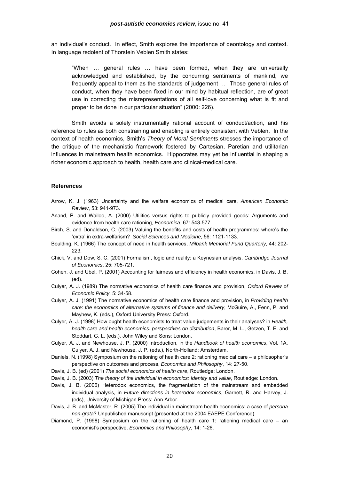an individual's conduct. In effect, Smith explores the importance of deontology and context. In language redolent of Thorstein Veblen Smith states:

"When … general rules … have been formed, when they are universally acknowledged and established, by the concurring sentiments of mankind, we frequently appeal to them as the standards of judgement … Those general rules of conduct, when they have been fixed in our mind by habitual reflection, are of great use in correcting the misrepresentations of all self-love concerning what is fit and proper to be done in our particular situation" (2000: 226).

Smith avoids a solely instrumentally rational account of conduct/action, and his reference to rules as both constraining and enabling is entirely consistent with Veblen. In the context of health economics, Smith's *Theory of Moral Sentiments* stresses the importance of the critique of the mechanistic framework fostered by Cartesian, Paretian and utilitarian influences in mainstream health economics. Hippocrates may yet be influential in shaping a richer economic approach to health, health care and clinical-medical care.

### **References**

- Arrow, K. J. (1963) Uncertainty and the welfare economics of medical care, *American Economic Review*, 53: 941-973.
- Anand, P. and Wailoo, A. (2000) Utilities versus rights to publicly provided goods: Arguments and evidence from health care rationing, *Economica*, 67: 543-577.
- Birch, S. and Donaldson, C. (2003) Valuing the benefits and costs of health programmes: where's the 'extra' in extra-welfarism? *Social Sciences and Medicine*, 56: 1121-1133.
- Boulding, K. (1966) The concept of need in health services, *Milbank Memorial Fund Quarterly*, 44: 202- 223.
- Chick, V. and Dow, S. C. (2001) Formalism, logic and reality: a Keynesian analysis, *Cambridge Journal of Economics*, 25: 705-721.
- Cohen, J. and Ubel, P. (2001) Accounting for fairness and efficiency in health economics, in Davis, J. B. (ed).
- Culyer, A. J. (1989) The normative economics of health care finance and provision, *Oxford Review of Economic Policy*, 5: 34-58.
- Culyer, A. J. (1991) The normative economics of health care finance and provision, in *Providing health care: the economics of alternative systems of finance and delivery*, McGuire, A., Fenn, P. and Mayhew, K. (eds.), Oxford University Press: Oxford.
- Culyer, A. J. (1998) How ought health economists to treat value judgements in their analyses? in *Health, health care and health economics: perspectives on distribution*, Barer, M. L., Getzen, T. E. and Stoddart, G. L. (eds.), John Wiley and Sons: London.
- Culyer, A. J. and Newhouse, J. P. (2000) Introduction, in the *Handbook of health economics*, Vol. 1A, Culyer, A. J. and Newhouse, J. P. (eds.), North-Holland: Amsterdam.
- Daniels, N. (1998) Symposium on the rationing of health care 2: rationing medical care a philosopher's perspective on outcomes and process, *Economics and Philosophy*, 14: 27-50.
- Davis, J. B. (ed) (2001) *The social economics of health care*, Routledge: London.
- Davis, J. B. (2003) *The theory of the individual in economics: Identity and value*, Routledge: London.
- Davis, J. B. (2006) Heterodox economics, the fragmentation of the mainstream and embedded individual analysis, in *Future directions in heterodox economics*, Garnett, R. and Harvey, J. (eds), University of Michigan Press: Ann Arbor.
- Davis, J. B. and McMaster, R. (2005) The individual in mainstream health economics: a case of *persona non-grata*? Unpublished manuscript (presented at the 2004 EAEPE Conference).
- Diamond, P. (1998) Symposium on the rationing of health care 1: rationing medical care an economist's perspective, *Economics and Philosophy*, 14: 1-26.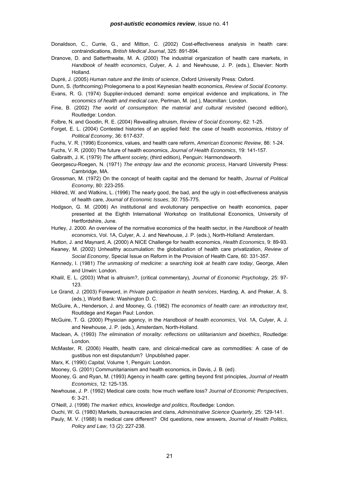- Donaldson, C., Currie, G., and Mitton, C. (2002) Cost-effectiveness analysis in health care: contraindications, *British Medical Journal*, 325: 891-894.
- Dranove, D. and Satterthwaite, M. A. (2000) The industrial organization of health care markets, in *Handbook of health economics*, Culyer, A. J. and Newhouse, J. P. (eds.), Elsevier: North Holland.
- Dupré, J. (2005) *Human nature and the limits of science*, Oxford University Press: Oxford.
- Dunn, S. (forthcoming) Prolegomena to a post Keynesian health economics, *Review of Social Economy*.
- Evans, R. G. (1974) Supplier-induced demand: some empirical evidence and implications, in *The economics of health and medical care*, Perlman, M. (ed.), Macmillan: London.
- Fine, B. (2002) *The world of consumption: the material and cultural revisited* (second edition), Routledge: London.
- Folbre, N. and Goodin, R. E. (2004) Revealling altruism, *Review of Social Economy*, 62: 1-25.
- Forget, E. L. (2004) Contested histories of an applied field: the case of health economics, *History of Political Economy*, 36: 617-637.
- Fuchs, V. R. (1996) Economics, values, and health care reform, *American Economic Review*, 86: 1-24.
- Fuchs, V. R. (2000) The future of health economics, *Journal of Health Economics*, 19: 141-157.
- Galbraith, J. K. (1979) *The affluent society*, (third edition), Penguin: Harmondsworth.
- Georgescu-Roegen, N. (1971) *The entropy law and the economic process*, Harvard University Press: Cambridge, MA.
- Grossman, M. (1972) On the concept of health capital and the demand for health, *Journal of Political Economy*, 80: 223-255.
- Hildred, W. and Watkins, L. (1996) The nearly good, the bad, and the ugly in cost-effectiveness analysis of health care, *Journal of Economic Issues*, 30: 755-775.
- Hodgson, G. M. (2006) An institutional and evolutionary perspective on health economics, paper presented at the Eighth International Workshop on Institutional Economics, University of Hertfordshire, June.
- Hurley, J. 2000. An overview of the normative economics of the health sector, in the *Handbook of health economics*, Vol. 1A, Culyer, A. J. and Newhouse, J. P. (eds.), North-Holland: Amsterdam.
- Hutton, J. and Maynard, A. (2000) A NICE Challenge for health economics, *Health Economics*, 9: 89-93.
- Keaney, M. (2002) Unhealthy accumulation: the globalization of health care privatization, *Review of Social Economy*, Special Issue on Reform in the Provision of Health Care, 60: 331-357.
- Kennedy, I. (1981) *The unmasking of medicine: a searching look at health care today*, George, Allen and Unwin: London.
- Khalil, E. L. (2003) What is altruism?, (critical commentary), *Journal of Economic Psychology*, 25: 97- 123.
- Le Grand, J. (2003) Foreword, in *Private participation in health services*, Harding, A. and Preker, A. S. (eds.), World Bank: Washington D. C.
- McGuire, A., Henderson, J. and Mooney, G. (1982) *The economics of health care: an introductory text*, Routldege and Kegan Paul: London.
- McGuire, T. G. (2000) Physician agency, in the *Handbook of health economics*, Vol. 1A, Culyer, A. J. and Newhouse, J. P. (eds.), Amsterdam, North-Holland.
- Maclean, A. (1993) *The elimination of morality: reflections on utilitarianism and bioethics*, Routledge: London.
- McMaster, R. (2006) Health, health care, and clinical-medical care as commodities: A case of de gustibus non est disputandum? Unpublished paper.
- Marx, K. (1990) *Capital*, Volume 1, Penguin: London.
- Mooney, G. (2001) Communitarianism and health economics, in Davis, J. B. (ed).
- Mooney, G. and Ryan, M. (1993) Agency in health care: getting beyond first principles, *Journal of Health Economics*, 12: 125-135.
- Newhouse, J. P. (1992) Medical care costs: how much welfare loss? *Journal of Economic Perspectives*, 6: 3-21.
- O'Neill, J. (1998) *The market: ethics, knowledge and politics*, Routledge: London.
- Ouchi, W. G. (1980) Markets, bureaucracies and clans, *Administrative Science Quarterly*, 25: 129-141.
- Pauly, M. V. (1988) Is medical care different? Old questions, new answers, *Journal of Health Politics, Policy and Law*, 13 (2): 227-238.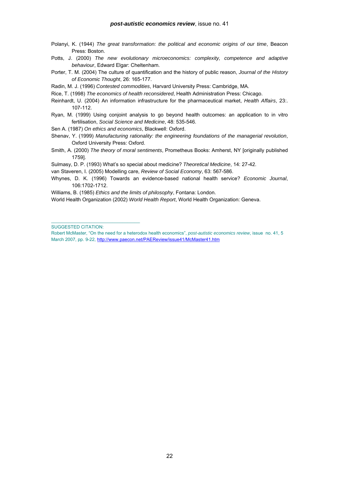- Polanyi, K. (1944) *The great transformation: the political and economic origins of our time*, Beacon Press: Boston.
- Potts, J. (2000) *The new evolutionary microeconomics: complexity, competence and adaptive behaviour*, Edward Elgar: Cheltenham.
- Porter, T. M. (2004) The culture of quantification and the history of public reason, *Journal of the History of Economic Thought*, 26: 165-177.
- Radin, M. J. (1996) *Contested commodities*, Harvard University Press: Cambridge, MA.
- Rice, T. (1998) *The economics of health reconsidered*, Health Administration Press: Chicago.
- Reinhardt, U. (2004) An information infrastructure for the pharmaceutical market, *Health Affairs*, 23:. 107-112.
- Ryan, M. (1999) Using conjoint analysis to go beyond health outcomes: an application to in vitro fertilisation, *Social Science and Medicine*, 48: 535-546.
- Sen A. (1987) *On ethics and economics*, Blackwell: Oxford.
- Shenav, Y. (1999) *Manufacturing rationality: the engineering foundations of the managerial revolution*, Oxford University Press: Oxford.
- Smith, A. (2000) *The theory of moral sentiments*, Prometheus Books: Amherst, NY [originally published 1759].
- Sulmasy, D. P. (1993) What's so special about medicine? *Theoretical Medicine*, 14: 27-42.
- van Staveren, I. (2005) Modelling care, *Review of Social Economy*, 63: 567-586.
- Whynes, D. K. (1996) Towards an evidence-based national health service? *Economic Journal*, 106:1702-1712.

Williams, B. (1985) *Ethics and the limits of philosophy*, Fontana: London.

World Health Organization (2002) *World Health Report*, World Health Organization: Geneva.

SUGGESTED CITATION:

 $\mathcal{L}_\text{max}$  and  $\mathcal{L}_\text{max}$  and  $\mathcal{L}_\text{max}$  and  $\mathcal{L}_\text{max}$ 

Robert McMaster, "On the need for a heterodox health economics", *post-autistic ec[on](http://www.paecon.net/PAEReview/issue41/Goodacre41.htm)omics review*, issue no. 41, 5 March 2007, pp. 9-22, [http://www.paecon.net/PAEReview/issue41/McMaster41.htm](http://www.paecon.net/PAEReview/issue41/Goodacre41.htm)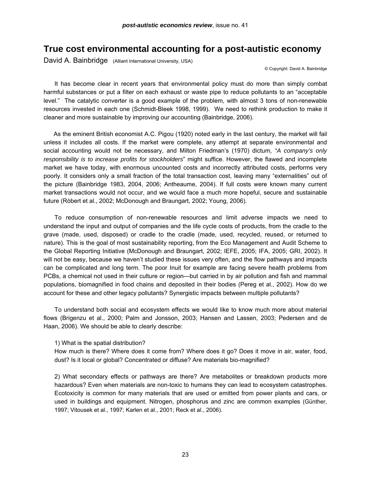### **True cost environmental accounting for a post-autistic economy**

David A. Bainbridge (Alliant International University, USA)

© Copyright: David A. Bainbridge

 It has become clear in recent years that environmental policy must do more than simply combat harmful substances or put a filter on each exhaust or waste pipe to reduce pollutants to an "acceptable level." The catalytic converter is a good example of the problem, with almost 3 tons of non-renewable resources invested in each one (Schmidt-Bleek 1998, 1999). We need to rethink production to make it cleaner and more sustainable by improving our accounting (Bainbridge, 2006).

 As the eminent British economist A.C. Pigou (1920) noted early in the last century, the market will fail unless it includes all costs. If the market were complete, any attempt at separate environmental and social accounting would not be necessary, and Milton Friedman's (1970) dictum, *"A company's only responsibility is to increase profits for stockholders*" might suffice. However, the flawed and incomplete market we have today, with enormous uncounted costs and incorrectly attributed costs, performs very poorly. It considers only a small fraction of the total transaction cost, leaving many "externalities" out of the picture (Bainbridge 1983, 2004, 2006; Antheaume, 2004). If full costs were known many current market transactions would not occur, and we would face a much more hopeful, secure and sustainable future (Ròbert et al., 2002; McDonough and Braungart, 2002; Young, 2006).

 To reduce consumption of non-renewable resources and limit adverse impacts we need to understand the input and output of companies and the life cycle costs of products, from the cradle to the grave (made, used, disposed) or cradle to the cradle (made, used, recycled, reused, or returned to nature). This is the goal of most sustainability reporting, from the Eco Management and Audit Scheme to the Global Reporting Initiative (McDonough and Braungart, 2002; IEFE, 2005; IFA, 2005; GRI, 2002). It will not be easy, because we haven't studied these issues very often, and the flow pathways and impacts can be complicated and long term. The poor Inuit for example are facing severe health problems from PCBs, a chemical not used in their culture or region—but carried in by air pollution and fish and mammal populations, biomagnified in food chains and deposited in their bodies (Pereg et al., 2002). How do we account for these and other legacy pollutants? Synergistic impacts between multiple pollutants?

 To understand both social and ecosystem effects we would like to know much more about material flows (Brigenzu et al., 2000; Palm and Jonsson, 2003; Hansen and Lassen, 2003; Pedersen and de Haan, 2006). We should be able to clearly describe:

1) What is the spatial distribution?

How much is there? Where does it come from? Where does it go? Does it move in air, water, food, dust? Is it local or global? Concentrated or diffuse? Are materials bio-magnified?

2) What secondary effects or pathways are there? Are metabolites or breakdown products more hazardous? Even when materials are non-toxic to humans they can lead to ecosystem catastrophes. Ecotoxicity is common for many materials that are used or emitted from power plants and cars, or used in buildings and equipment. Nitrogen, phosphorus and zinc are common examples (Günther, 1997; Vitousek et al., 1997; Karlen et al., 2001; Reck et al., 2006).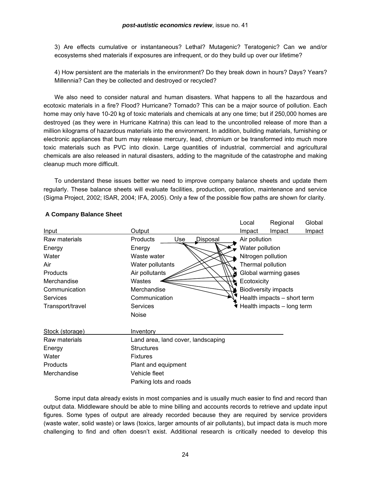3) Are effects cumulative or instantaneous? Lethal? Mutagenic? Teratogenic? Can we and/or ecosystems shed materials if exposures are infrequent, or do they build up over our lifetime?

4) How persistent are the materials in the environment? Do they break down in hours? Days? Years? Millennia? Can they be collected and destroyed or recycled?

 We also need to consider natural and human disasters. What happens to all the hazardous and ecotoxic materials in a fire? Flood? Hurricane? Tornado? This can be a major source of pollution. Each home may only have 10-20 kg of toxic materials and chemicals at any one time; but if 250,000 homes are destroyed (as they were in Hurricane Katrina) this can lead to the uncontrolled release of more than a million kilograms of hazardous materials into the environment. In addition, building materials, furnishing or electronic appliances that burn may release mercury, lead, chromium or be transformed into much more toxic materials such as PVC into dioxin. Large quantities of industrial, commercial and agricultural chemicals are also released in natural disasters, adding to the magnitude of the catastrophe and making cleanup much more difficult.

 To understand these issues better we need to improve company balance sheets and update them regularly. These balance sheets will evaluate facilities, production, operation, maintenance and service (Sigma Project, 2002; ISAR, 2004; IFA, 2005). Only a few of the possible flow paths are shown for clarity.

|                  |                                                     |             | Local                                     | Regional | Global        |  |  |
|------------------|-----------------------------------------------------|-------------|-------------------------------------------|----------|---------------|--|--|
| Input            | Output                                              |             | Impact                                    | Impact   | <b>Impact</b> |  |  |
| Raw materials    | Use<br>Disposal<br><b>Products</b><br>Air pollution |             |                                           |          |               |  |  |
| Energy           | Water pollution<br>Energy                           |             |                                           |          |               |  |  |
| Water            | Nitrogen pollution<br>Waste water                   |             |                                           |          |               |  |  |
| Air              | Water pollutants                                    |             | Thermal pollution<br>Global warming gases |          |               |  |  |
| Products         | Air pollutants                                      |             |                                           |          |               |  |  |
| Merchandise      | Wastes                                              | Ecotoxicity |                                           |          |               |  |  |
| Communication    | Merchandise                                         |             | <b>Biodiversity impacts</b>               |          |               |  |  |
| <b>Services</b>  | Health impacts - short term<br>Communication        |             |                                           |          |               |  |  |
| Transport/travel | Services                                            |             | Health impacts - long term                |          |               |  |  |
|                  | <b>Noise</b>                                        |             |                                           |          |               |  |  |
| Stock (storage)  | Inventory                                           |             |                                           |          |               |  |  |
| Raw materials    | Land area, land cover, landscaping                  |             |                                           |          |               |  |  |
| Energy           | <b>Structures</b>                                   |             |                                           |          |               |  |  |
| Water            | <b>Fixtures</b>                                     |             |                                           |          |               |  |  |
| Products         | Plant and equipment                                 |             |                                           |          |               |  |  |
| Merchandise      | Vehicle fleet                                       |             |                                           |          |               |  |  |
|                  | Parking lots and roads                              |             |                                           |          |               |  |  |

### **A Company Balance Sheet**

 Some input data already exists in most companies and is usually much easier to find and record than output data. Middleware should be able to mine billing and accounts records to retrieve and update input figures. Some types of output are already recorded because they are required by service providers (waste water, solid waste) or laws (toxics, larger amounts of air pollutants), but impact data is much more challenging to find and often doesn't exist. Additional research is critically needed to develop this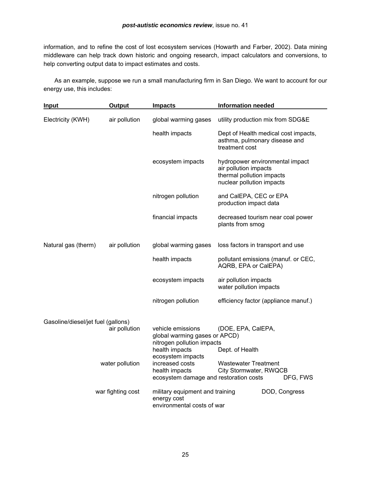information, and to refine the cost of lost ecosystem services (Howarth and Farber, 2002). Data mining middleware can help track down historic and ongoing research, impact calculators and conversions, to help converting output data to impact estimates and costs.

 As an example, suppose we run a small manufacturing firm in San Diego. We want to account for our energy use, this includes:

| <b>Input</b>                                                           | <b>Output</b> | <b>Impacts</b>                                                               | <b>Information needed</b>                                                                                          |  |  |
|------------------------------------------------------------------------|---------------|------------------------------------------------------------------------------|--------------------------------------------------------------------------------------------------------------------|--|--|
| Electricity (KWH)                                                      | air pollution | global warming gases                                                         | utility production mix from SDG&E                                                                                  |  |  |
|                                                                        |               | health impacts                                                               | Dept of Health medical cost impacts,<br>asthma, pulmonary disease and<br>treatment cost                            |  |  |
|                                                                        |               | ecosystem impacts                                                            | hydropower environmental impact<br>air pollution impacts<br>thermal pollution impacts<br>nuclear pollution impacts |  |  |
|                                                                        |               | nitrogen pollution                                                           | and CalEPA, CEC or EPA<br>production impact data                                                                   |  |  |
|                                                                        |               | financial impacts                                                            | decreased tourism near coal power<br>plants from smog                                                              |  |  |
| Natural gas (therm)                                                    | air pollution | global warming gases                                                         | loss factors in transport and use                                                                                  |  |  |
|                                                                        |               | health impacts                                                               | pollutant emissions (manuf. or CEC,<br>AQRB, EPA or CalEPA)                                                        |  |  |
|                                                                        |               | ecosystem impacts                                                            | air pollution impacts<br>water pollution impacts                                                                   |  |  |
|                                                                        |               | nitrogen pollution                                                           | efficiency factor (appliance manuf.)                                                                               |  |  |
| Gasoline/diesel/jet fuel (gallons)<br>air pollution<br>water pollution |               | vehicle emissions<br>global warming gases or APCD)                           | (DOE, EPA, CalEPA,                                                                                                 |  |  |
|                                                                        |               | nitrogen pollution impacts<br>health impacts<br>ecosystem impacts            | Dept. of Health                                                                                                    |  |  |
|                                                                        |               | increased costs<br>health impacts<br>ecosystem damage and restoration costs  | <b>Wastewater Treatment</b><br>City Stormwater, RWQCB<br>DFG, FWS                                                  |  |  |
| war fighting cost                                                      |               | military equipment and training<br>energy cost<br>environmental costs of war | DOD, Congress                                                                                                      |  |  |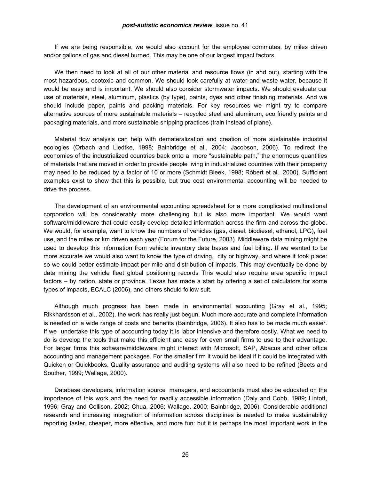#### *post-autistic economics review*, issue no. 41

 If we are being responsible, we would also account for the employee commutes, by miles driven and/or gallons of gas and diesel burned. This may be one of our largest impact factors.

 We then need to look at all of our other material and resource flows (in and out), starting with the most hazardous, ecotoxic and common. We should look carefully at water and waste water, because it would be easy and is important. We should also consider stormwater impacts. We should evaluate our use of materials, steel, aluminum, plastics (by type), paints, dyes and other finishing materials. And we should include paper, paints and packing materials. For key resources we might try to compare alternative sources of more sustainable materials – recycled steel and aluminum, eco friendly paints and packaging materials, and more sustainable shipping practices (train instead of plane).

 Material flow analysis can help with demateralization and creation of more sustainable industrial ecologies (Orbach and Liedtke, 1998; Bainbridge et al., 2004; Jacobson, 2006). To redirect the economies of the industrialized countries back onto a more "sustainable path," the enormous quantities of materials that are moved in order to provide people living in industrialized countries with their prosperity may need to be reduced by a factor of 10 or more (Schmidt Bleek, 1998; Ròbert et al., 2000). Sufficient examples exist to show that this is possible, but true cost environmental accounting will be needed to drive the process.

 The development of an environmental accounting spreadsheet for a more complicated multinational corporation will be considerably more challenging but is also more important. We would want software/middleware that could easily develop detailed information across the firm and across the globe. We would, for example, want to know the numbers of vehicles (gas, diesel, biodiesel, ethanol, LPG), fuel use, and the miles or km driven each year (Forum for the Future, 2003). Middleware data mining might be used to develop this information from vehicle inventory data bases and fuel billing. If we wanted to be more accurate we would also want to know the type of driving, city or highway, and where it took place: so we could better estimate impact per mile and distribution of impacts. This may eventually be done by data mining the vehicle fleet global positioning records This would also require area specific impact factors – by nation, state or province. Texas has made a start by offering a set of calculators for some types of impacts, ECALC (2006), and others should follow suit.

 Although much progress has been made in environmental accounting (Gray et al., 1995; Rikkhardsson et al., 2002), the work has really just begun. Much more accurate and complete information is needed on a wide range of costs and benefits (Bainbridge, 2006). It also has to be made much easier. If we undertake this type of accounting today it is labor intensive and therefore costly. What we need to do is develop the tools that make this efficient and easy for even small firms to use to their advantage. For larger firms this software/middleware might interact with Microsoft, SAP, Abacus and other office accounting and management packages. For the smaller firm it would be ideal if it could be integrated with Quicken or Quickbooks. Quality assurance and auditing systems will also need to be refined (Beets and Souther, 1999; Wallage, 2000).

 Database developers, information source managers, and accountants must also be educated on the importance of this work and the need for readily accessible information (Daly and Cobb, 1989; Lintott, 1996; Gray and Collison, 2002; Chua, 2006; Wallage, 2000; Bainbridge, 2006). Considerable additional research and increasing integration of information across disciplines is needed to make sustainability reporting faster, cheaper, more effective, and more fun: but it is perhaps the most important work in the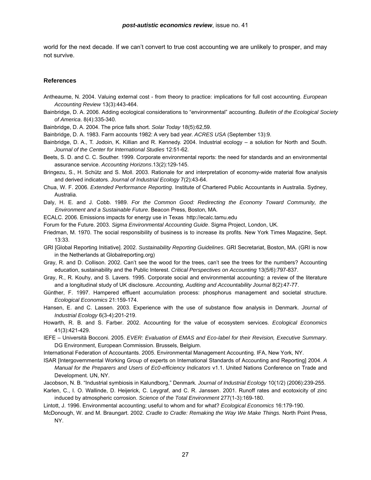world for the next decade. If we can't convert to true cost accounting we are unlikely to prosper, and may not survive.

### **References**

- Antheaume, N. 2004. Valuing external cost from theory to practice: implications for full cost accounting. *European Accounting Review* 13(3):443-464.
- Bainbridge, D. A. 2006. Adding ecological considerations to "environmental" accounting. *Bulletin of the Ecological Society of America*. 8(4):335-340.
- Bainbridge, D. A. 2004. The price falls short. *Solar Today* 18(5):62,59.
- Bainbridge, D. A. 1983. Farm accounts 1982: A very bad year. *ACRES USA* (September 13):9.
- Bainbridge, D. A., T. Jodoin, K. Killian and R. Kennedy. 2004. Industrial ecology a solution for North and South. *Journal of the Center for International Studies* 12:51-62.
- Beets, S. D. and C. C. Souther. 1999. Corporate environmental reports: the need for standards and an environmental assurance service. *Accounting Horizons*.13(2):129-145.
- Bringezu, S., H. Schütz and S. Moll. 2003. Rationale for and interpretation of economy-wide material flow analysis and derived indicators. *Journal of Industrial Ecology* 7(2):43-64.
- Chua, W. F. 2006. *Extended Performance Reporting*. Institute of Chartered Public Accountants in Australia. Sydney, Australia.
- Daly, H. E. and J. Cobb. 1989. *For the Common Good: Redirecting the Economy Toward Community, the Environment and a Sustainable Future*. Beacon Press, Boston, MA.
- ECALC. 2006. Emissions impacts for energy use in Texas http://ecalc.tamu.edu
- Forum for the Future. 2003. *Sigma Environmental Accounting Guide*. Sigma Project, London, UK.
- Friedman, M. 1970. The social responsibility of business is to increase its profits. New York Times Magazine, Sept. 13:33.
- GRI [Global Reporting Initiative]. 2002. *Sustainability Reporting Guidelines*. GRI Secretariat, Boston, MA. (GRI is now in the Netherlands at Globalreporting.org)
- Gray, R. and D. Collison. 2002. Can't see the wood for the trees, can't see the trees for the numbers? Accounting education, sustainability and the Public Interest. *Critical Perspectives on Accounting* 13(5/6):797-837.
- Gray, R., R. Kouhy, and S. Lavers. 1995. Corporate social and environmental accounting: a review of the literature and a longitudinal study of UK disclosure. *Accounting, Auditing and Accountability Journal* 8(2):47-77.
- Günther, F. 1997. Hampered effluent accumulation process: phosphorus management and societal structure. *Ecological Economics* 21:159-174.
- Hansen, E. and C. Lassen. 2003. Experience with the use of substance flow analysis in Denmark. *Journal of Industrial Ecology* 6(3-4):201-219.
- Howarth, R. B. and S. Farber. 2002. Accounting for the value of ecosystem services. *Ecological Economics* 41(3):421-429.
- IEFE Università Bocconi. 2005. *EVER: Evaluation of EMAS and Eco-label for their Revision, Executive Summary*. DG Environment, European Commission. Brussels, Belgium.
- International Federation of Accountants. 2005. Environmental Management Accounting. IFA, New York, NY.
- ISAR [Intergovernmental Working Group of experts on International Standards of Accounting and Reporting] 2004. *A Manual for the Preparers and Users of Ec0-efficiency Indicators* v1.1. United Nations Conference on Trade and Development. UN, NY.
- Jacobson, N. B. "Industrial symbiosis in Kalundborg," Denmark*. Journal of Industrial Ecology* 10(1/2) (2006):239-255.
- Karlen, C., I. O. Wallinde, D. Heijerick, C. Leygraf, and C. R. Janssen. 2001. Runoff rates and ecotoxicity of zinc induced by atmospheric corrosion. *Science of the Total Environment* 277(1-3):169-180.
- Lintott, J. 1996. Environmental accounting; useful to whom and for what? *Ecological Economics* 16:179-190.
- McDonough, W. and M. Braungart. 2002. *Cradle to Cradle: Remaking the Way We Make Things.* North Point Press, NY.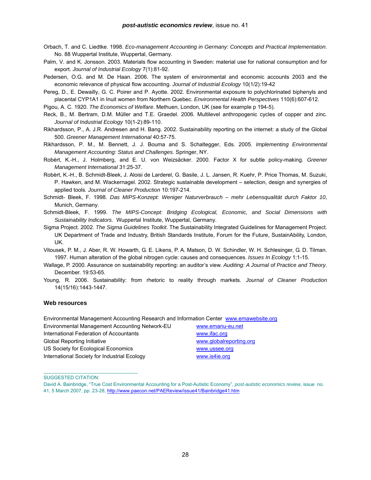- Orbach, T. and C. Liedtke. 1998. *Eco-management Accounting in Germany: Concepts and Practical Implementation*. No. 88 Wuppertal Institute, Wuppertal, Germany.
- Palm, V. and K. Jonsson. 2003. Materials flow accounting in Sweden: material use for national consumption and for export. *Journal of Industrial Ecology* 7(1):81-92.
- Pedersen, O.G. and M. De Haan. 2006. The system of environmental and economic accounts 2003 and the economic relevance of physical flow accounting. *Journal of Industrial Ecology* 10(1/2):19-42

Pereg, D., E. Dewailly, G. C. Poirer and P. Ayotte. 2002. Environmental exposure to polychlorinated biphenyls and placental CYP1A1 in Inuit women from Northern Quebec. *Environmental Health Perspectives* 110(6):607-612.

Pigou, A. C. 1920. *The Economics of Welfare*. Methuen, London, UK (see for example p 194-5).

- Reck, B., M. Bertram, D.M. Müller and T.E. Graedel. 2006. Multilevel anthropogenic cycles of copper and zinc*. Journal of Industrial Ecology* 10(1-2):89-110.
- Rikhardsson, P., A. J.R. Andresen and H. Bang. 2002. Sustainability reporting on the internet: a study of the Global 500. *Greener Management International* 40:57-75.
- Rikhardsson, P. M., M. Bennett, J. J. Bouma and S. Schaltegger, Eds. 2005*. Implementing Environmental Management Accounting: Status and Challenges.* Springer, NY.
- Robèrt, K.-H., J. Holmberg, and E. U. von Weizsäcker. 2000. Factor X for subtle policy-making. *Greener Management International* 31:25-37.
- Robèrt, K.-H., B. Schmidt-Bleek, J. Aloisi de Larderel, G. Basile, J. L. Jansen, R. Kuehr, P. Price Thomas, M. Suzuki, P. Hawken, and M. Wackernagel. 2002. Strategic sustainable development – selection, design and synergies of applied tools*. Journal of Cleaner Production* 10:197-214.
- Schmidt- Bleek, F. 1998. *Das MIPS-Konzept: Weniger Naturverbrauch mehr Lebensqualität durch Faktor 10*, Munich, Germany.
- Schmidt-Bleek, F. 1999. *The MIPS-Concept: Bridging Ecological, Economic, and Social Dimensions with Sustainability Indicators*. Wuppertal Institute, Wuppertal, Germany.

Sigma Project. 2002. *The Sigma Guidelines Toolkit*. The Sustainability Integrated Guidelines for Management Project. UK Department of Trade and Industry, British Standards Institute, Forum for the Future, SustainAbility, London, UK.

- Vitousek, P. M., J. Aber, R. W. Howarth, G. E. Likens, P. A. Matson, D. W. Schindler, W. H. Schlesinger, G. D. Tilman. 1997. Human alteration of the global nitrogen cycle: causes and consequences. *Issues In Ecology* 1:1-15.
- Wallage, P. 2000. Assurance on sustainability reporting: an auditor's view. *Auditing: A Journal of Practice and Theory*. December. 19:53-65.
- Young, R. 2006. Sustainability: from rhetoric to reality through markets*. Journal of Cleaner Production* 14(15/16):1443-1447.

### **Web resources**

Environmental Management Accounting Research and Information Center [www.emawebsite.org](http://www.emawebsite.org/)

Environmental Management Accounting Network-EU [www.emanu-eu.net](http://www.emanu-eu.net/) International Federation of Accountants [www.ifac.org](http://www.ifac.org/) Global Reporting Initiative [www.globalreporting.org](http://www.globalreporting.org/) US Society for Ecological Economics [www.ussee.org](http://www.ussee.org/) International Society for Industrial Ecology [www.is4ie.org](http://www.is4ie.org/)

\_\_\_\_\_\_\_\_\_\_\_\_\_\_\_\_\_\_\_\_\_\_\_\_\_\_\_\_\_\_\_\_\_\_\_

SUGGESTED CITATION:

David A. Bainbridge, "True Cost Environmental Accounting for a Post-Autistic Economy", *post-autistic economics review*, issue no. 41, 5 March 2007, pp. 23-28, [http://www.paecon.net/PAEReview/issue41/Bainbridge41.htm](http://www.paecon.net/PAEReview/issue41/Goodacre41.htm)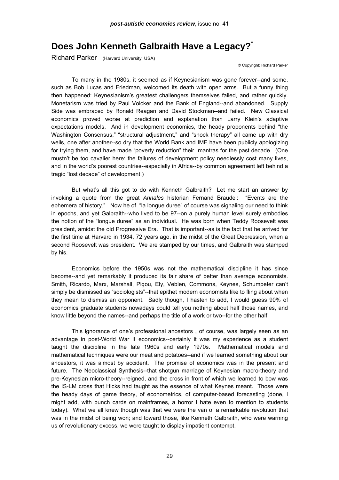# **Does John Kenneth Galbraith Have a Legacy?\***

Richard Parker (Harvard University, USA)

© Copyright: Richard Parker

To many in the 1980s, it seemed as if Keynesianism was gone forever--and some, such as Bob Lucas and Friedman, welcomed its death with open arms. But a funny thing then happened: Keynesianism's greatest challengers themselves failed, and rather quickly. Monetarism was tried by Paul Volcker and the Bank of England--and abandoned. Supply Side was embraced by Ronald Reagan and David Stockman--and failed. New Classical economics proved worse at prediction and explanation than Larry Klein's adaptive expectations models. And in development economics, the heady proponents behind "the Washington Consensus," "structural adjustment," and "shock therapy" all came up with dry wells, one after another--so dry that the World Bank and IMF have been publicly apologizing for trying them, and have made "poverty reduction" their mantras for the past decade. (One mustn't be too cavalier here: the failures of development policy needlessly cost many lives, and in the world's poorest countries--especially in Africa--by common agreement left behind a tragic "lost decade" of development.)

But what's all this got to do with Kenneth Galbraith? Let me start an answer by invoking a quote from the great *Annales* historian Fernand Braudel: "Events are the ephemera of history." Now he of "la longue duree" of course was signaling our need to think in epochs, and yet Galbraith--who lived to be 97--on a purely human level surely embodies the notion of the "longue duree" as an individual. He was born when Teddy Roosevelt was president, amidst the old Progressive Era. That is important--as is the fact that he arrived for the first time at Harvard in 1934, 72 years ago, in the midst of the Great Depression, when a second Roosevelt was president. We are stamped by our times, and Galbraith was stamped by his.

Economics before the 1950s was not the mathematical discipline it has since become--and yet remarkably it produced its fair share of better than average economists. Smith, Ricardo, Marx, Marshall, Pigou, Ely, Veblen, Commons, Keynes, Schumpeter can't simply be dismissed as "sociologists"--that epithet modern economists like to fling about when they mean to dismiss an opponent. Sadly though, I hasten to add, I would guess 90% of economics graduate students nowadays could tell you nothing about half those names, and know little beyond the names--and perhaps the title of a work or two--for the other half.

This ignorance of one's professional ancestors , of course, was largely seen as an advantage in post-World War II economics--certainly it was my experience as a student taught the discipline in the late 1960s and early 1970s. Mathematical models and mathematical techniques were our meat and potatoes--and if we learned something about our ancestors, it was almost by accident. The promise of economics was in the present and future. The Neoclassical Synthesis--that shotgun marriage of Keynesian macro-theory and pre-Keynesian micro-theory--reigned, and the cross in front of which we learned to bow was the IS-LM cross that Hicks had taught as the essence of what Keynes meant. Those were the heady days of game theory, of econometrics, of computer-based forecasting (done, I might add, with punch cards on mainframes, a horror I hate even to mention to students today). What we all knew though was that we were the van of a remarkable revolution that was in the midst of being won; and toward those, like Kenneth Galbraith, who were warning us of revolutionary excess, we were taught to display impatient contempt.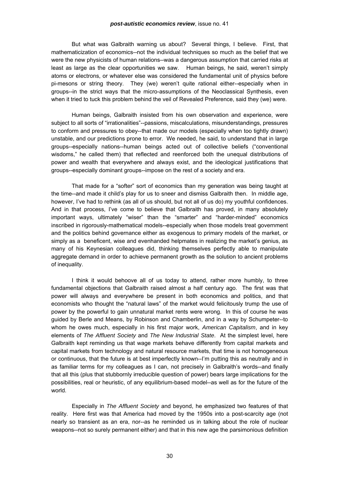But what was Galbraith warning us about? Several things, I believe. First, that mathematicization of economics--not the individual techniques so much as the belief that we were the new physicists of human relations--was a dangerous assumption that carried risks at least as large as the clear opportunities we saw. Human beings, he said, weren't simply atoms or electrons, or whatever else was considered the fundamental unit of physics before pi-mesons or string theory. They (we) weren't quite rational either--especially when in groups--in the strict ways that the micro-assumptions of the Neoclassical Synthesis, even when it tried to tuck this problem behind the veil of Revealed Preference, said they (we) were.

Human beings, Galbraith insisted from his own observation and experience, were subject to all sorts of "irrationalities"--passions, miscalculations, misunderstandings, pressures to conform and pressures to obey--that made our models (especially when too tightly drawn) unstable, and our predictions prone to error. We needed, he said, to understand that in large groups--especially nations--human beings acted out of collective beliefs ("conventional wisdoms," he called them) that reflected and reenforced both the unequal distributions of power and wealth that everywhere and always exist, and the ideological justifications that groups--especially dominant groups--impose on the rest of a society and era.

That made for a "softer" sort of economics than my generation was being taught at the time--and made it child's play for us to sneer and dismiss Galbraith then. In middle age, however, I've had to rethink (as all of us should, but not all of us do) my youthful confidences. And in that process, I've come to believe that Galbraith has proved, in many absolutely important ways, ultimately "wiser" than the "smarter" and "harder-minded" economics inscribed in rigorously-mathematical models--especially when those models treat government and the politics behind governance either as exogenous to primary models of the market, or simply as a beneficent, wise and evenhanded helpmates in realizing the market's genius, as many of his Keynesian colleagues did, thinking themselves perfectly able to manipulate aggregate demand in order to achieve permanent growth as the solution to ancient problems of inequality.

I think it would behoove all of us today to attend, rather more humbly, to three fundamental objections that Galbraith raised almost a half century ago. The first was that power will always and everywhere be present in both economics and politics, and that economists who thought the "natural laws" of the market would felicitously trump the use of power by the powerful to gain unnatural market rents were wrong. In this of course he was guided by Berle and Means, by Robinson and Chamberlin, and in a way by Schumpeter--to whom he owes much, especially in his first major work, *American Capitalism*, and in key elements of *The Affluent Society* and *The New Industrial State*. At the simplest level, here Galbraith kept reminding us that wage markets behave differently from capital markets and capital markets from technology and natural resource markets, that time is not homogeneous or continuous, that the future is at best imperfectly known--I'm putting this as neutrally and in as familiar terms for my colleagues as I can, not precisely in Galbraith's words--and finally that all this (plus that stubbornly irreducible question of power) bears large implications for the possibilities, real or heuristic, of any equilibrium-based model--as well as for the future of the world.

Especially in *The Affluent Society* and beyond, he emphasized two features of that reality. Here first was that America had moved by the 1950s into a post-scarcity age (not nearly so transient as an era, nor--as he reminded us in talking about the role of nuclear weapons--not so surely permanent either) and that in this new age the parsimonious definition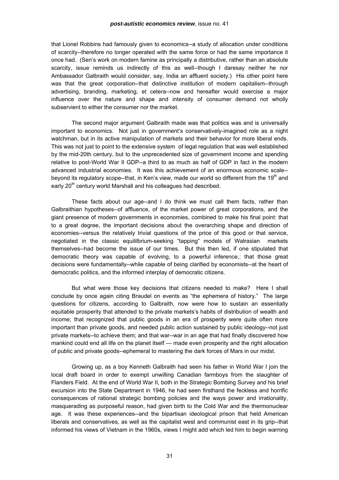that Lionel Robbins had famously given to economics--a study of allocation under conditions of scarcity--therefore no longer operated with the same force or had the same importance it once had. (Sen's work on modern famine as principally a distributive, rather than an absolute scarcity, issue reminds us indirectly of this as well--though I daresay neither he nor Ambassador Galbraith would consider, say, India an affluent society.) His other point here was that the great corporation--that distinctive institution of modern capitalism--through advertising, branding, marketing, et cetera--now and hereafter would exercise a major influence over the nature and shape and intensity of consumer demand not wholly subservient to either the consumer nor the market.

The second major argument Galbraith made was that politics was and is universally important to economics. Not just in government's conservatively-imagined role as a night watchman, but in its active manipulation of markets and their behavior for more liberal ends. This was not just to point to the extensive system of legal regulation that was well established by the mid-20th century, but to the unprecedented size of government income and spending relative to post-World War II GDP--a third to as much as half of GDP in fact in the modern advanced industrial economies. It was this achievement of an enormous economic scale- beyond its regulatory scope--that, in Ken's view, made our world so different from the 19<sup>th</sup> and early 20<sup>th</sup> century world Marshall and his colleagues had described.

These facts about our age--and I do think we must call them facts, rather than Galbraithian hypotheses--of affluence, of the market power of great corporations, and the giant presence of modern governments in economies, combined to make his final point: that to a great degree, the important decisions about the overarching shape and direction of economies--versus the relatively trivial questions of the price of this good or that service, negotiated in the classic equililbrium-seeking "tapping" models of Walrasian markets themselves--had become the issue of our times. But this then led, if one stipulated that democratic theory was capable of evolving, to a powerful inference,: that those great decisions were fundamentally--while capable of being clarified by economists--at the heart of democratic politics, and the informed interplay of democratic citizens.

But what were those key decisions that citizens needed to make? Here I shall conclude by once again citing Braudel on events as "the ephemera of history." The large questions for citizens, according to Galbraith, now were how to sustain an essentially equitable prosperity that attended to the private markets's habits of distribution of wealth and income; that recognized that public goods in an era of prosperity were quite often more important than private goods, and needed public action sustained by public ideology--not just private markets--to achieve them; and that war--war in an age that had finally discovered how mankind could end all life on the planet itself — made even prosperity and the right allocation of public and private goods--ephemeral to mastering the dark forces of Mars in our midst.

Growing up, as a boy Kenneth Galbraith had seen his father in World War I join the local draft board in order to exempt unwilling Canadian farmboys from the slaughter of Flanders Field. At the end of World War II, both in the Strategic Bombing Survey and his brief excursion into the State Department in 1946, he had seen firsthand the feckless and horrific consequences of rational strategic bombing policies and the ways power and irrationality, masquerading as purposeful reason, had given birth to the Cold War and the thermonuclear age. It was these experiences--and the bipartisan ideological prison that held American liberals and conservatives, as well as the capitalist west and communist east in its grip--that informed his views of Vietnam in the 1960s, views I might add which led him to begin warning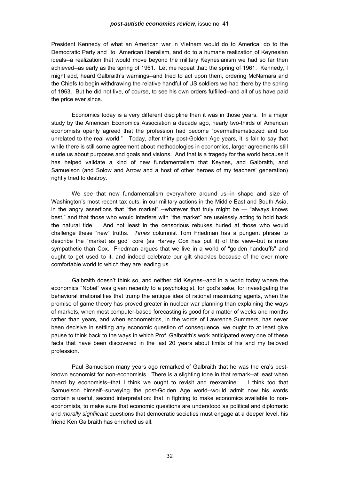President Kennedy of what an American war in Vietnam would do to America, do to the Democratic Party and to American liberalism, and do to a humane realization of Keynesian ideals--a realization that would move beyond the military Keynesianism we had so far then achieved--as early as the spring of 1961. Let me repeat that: the spring of 1961. Kennedy, I might add, heard Galbraith's warnings--and tried to act upon them, ordering McNamara and the Chiefs to begin withdrawing the relative handful of US soldiers we had there by the spring of 1963. But he did not live, of course, to see his own orders fulfilled--and all of us have paid the price ever since.

Economics today is a very different discipline than it was in those years. In a major study by the American Economics Association a decade ago, nearly two-thirds of American economists openly agreed that the profession had become "overmathematicized and too unrelated to the real world." Today, after thirty post-Golden Age years, it is fair to say that while there is still some agreement about methodologies in economics, larger agreements still elude us about purposes and goals and visions. And that is a tragedy for the world because it has helped validate a kind of new fundamentalism that Keynes, and Galbraith, and Samuelson (and Solow and Arrow and a host of other heroes of my teachers' generation) rightly tried to destroy.

We see that new fundamentalism everywhere around us--in shape and size of Washington's most recent tax cuts, in our military actions in the Middle East and South Asia, in the angry assertions that "the market" --whatever that truly might be — "always knows best," and that those who would interfere with "the market" are uselessly acting to hold back the natural tide. And not least in the censorious rebukes hurled at those who would challenge these "new" truths. *Times* columnist Tom Friedman has a pungent phrase to describe the "market as god" core (as Harvey Cox has put it) of this view--but is more sympathetic than Cox. Friedman argues that we live in a world of "golden handcuffs" and ought to get used to it, and indeed celebrate our gilt shackles because of the ever more comfortable world to which they are leading us.

Galbraith doesn't think so, and neither did Keynes--and in a world today where the economics "Nobel" was given recently to a psychologist, for god's sake, for investigating the behavioral irrationalities that trump the antique idea of rational maximizing agents, when the promise of game theory has proved greater in nuclear war planning than explaining the ways of markets, when most computer-based forecasting is good for a matter of weeks and months rather than years, and when econometrics, in the words of Lawrence Summers, has never been decisive in settling any economic question of consequence, we ought to at least give pause to think back to the ways in which Prof. Galbraith's work anticipated every one of these facts that have been discovered in the last 20 years about limits of his and my beloved profession.

Paul Samuelson many years ago remarked of Galbraith that he was the era's bestknown economist for non-economists. There is a slighting tone in that remark--at least when heard by economists--that I think we ought to revisit and reexamine. I think too that Samuelson himself--surveying the post-Golden Age world--would admit now his words contain a useful, second interpretation: that in fighting to make economics available to noneconomists, to make sure that economic questions are understood as political and diplomatic and *morally signfiicant* questions that democratic societies must engage at a deeper level, his friend Ken Galbraith has enriched us all.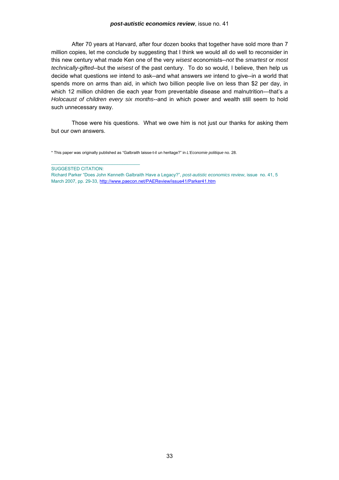### *post-autistic economics review*, issue no. 41

After 70 years at Harvard, after four dozen books that together have sold more than 7 million copies, let me conclude by suggesting that I think we would all do well to reconsider in this new century what made Ken one of the very *wisest* economists--*not* the *smartest* or *most technically-gifted*--but the *wisest* of the past century. To do so would, I believe, then help us decide what questions *we* intend to ask--and what answers *we* intend to give--in a world that spends more on arms than aid, in which two billion people live on less than \$2 per day, in which 12 million children die each year from preventable disease and malnutrition---that's *a Holocaust of children every six months*--and in which power and wealth still seem to hold such unnecessary sway.

Those were his questions. What we owe him is not just our thanks for asking them but our own answers.

\* This paper was originally published as "Galbraith laisse-t-il un heritage?" in *L'Economie politique* no. 28.

SUGGESTED CITATION:

 $\_$  . The contribution of the contribution of  $\mathcal{L}_\mathcal{A}$ 

Richard Parker "Does John Kenneth Galbraith Have a Legacy?", *post-autistic eco[n](http://www.paecon.net/PAEReview/issue41/Goodacre41.htm)omics review*, issue no. 41, 5 March 2007, pp. 29-33, [http://www.paecon.net/PAEReview/issue41/Parker41.htm](http://www.paecon.net/PAEReview/issue41/Goodacre41.htm)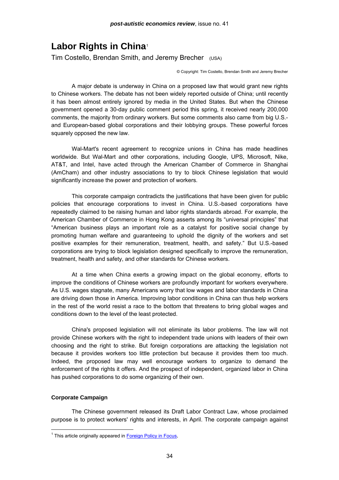## <span id="page-33-0"></span>**Labor Rights in China**[1](#page-33-0)

Tim Costello, Brendan Smith, and Jeremy Brecher (USA)

© Copyright: Tim Costello, Brendan Smith and Jeremy Brecher

 A major debate is underway in China on a proposed law that would grant new rights to Chinese workers. The debate has not been widely reported outside of China; until recently it has been almost entirely ignored by media in the United States. But when the Chinese government opened a 30-day public comment period this spring, it received nearly 200,000 comments, the majority from ordinary workers. But some comments also came from big U.S. and European-based global corporations and their lobbying groups. These powerful forces squarely opposed the new law.

 Wal-Mart's recent agreement to recognize unions in China has made headlines worldwide. But Wal-Mart and other corporations, including Google, UPS, Microsoft, Nike, AT&T, and Intel, have acted through the American Chamber of Commerce in Shanghai (AmCham) and other industry associations to try to block Chinese legislation that would significantly increase the power and protection of workers.

 This corporate campaign contradicts the justifications that have been given for public policies that encourage corporations to invest in China. U.S.-based corporations have repeatedly claimed to be raising human and labor rights standards abroad. For example, the American Chamber of Commerce in Hong Kong asserts among its "universal principles" that "American business plays an important role as a catalyst for positive social change by promoting human welfare and guaranteeing to uphold the dignity of the workers and set positive examples for their remuneration, treatment, health, and safety." But U.S.-based corporations are trying to block legislation designed specifically to improve the remuneration, treatment, health and safety, and other standards for Chinese workers.

 At a time when China exerts a growing impact on the global economy, efforts to improve the conditions of Chinese workers are profoundly important for workers everywhere. As U.S. wages stagnate, many Americans worry that low wages and labor standards in China are driving down those in America. Improving labor conditions in China can thus help workers in the rest of the world resist a race to the bottom that threatens to bring global wages and conditions down to the level of the least protected.

 China's proposed legislation will not eliminate its labor problems. The law will not provide Chinese workers with the right to independent trade unions with leaders of their own choosing and the right to strike. But foreign corporations are attacking the legislation not because it provides workers too little protection but because it provides them too much. Indeed, the proposed law may well encourage workers to organize to demand the enforcement of the rights it offers. And the prospect of independent, organized labor in China has pushed corporations to do some organizing of their own.

### **Corporate Campaign**

l

 The Chinese government released its Draft Labor Contract Law, whose proclaimed purpose is to protect workers' rights and interests, in April. The corporate campaign against

<sup>&</sup>lt;sup>1</sup> This article originally appeared in [Foreign Policy in Focus](http://www.fpif.org/).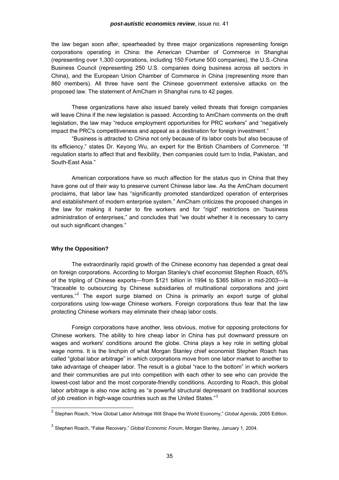<span id="page-34-0"></span>the law began soon after, spearheaded by three major organizations representing foreign corporations operating in China: the American Chamber of Commerce in Shanghai (representing over 1,300 corporations, including 150 Fortune 500 companies), the U.S.-China Business Council (representing 250 U.S. companies doing business across all sectors in China), and the European Union Chamber of Commerce in China (representing more than 860 members). All three have sent the Chinese government extensive attacks on the proposed law. The statement of AmCham in Shanghai runs to 42 pages.

 These organizations have also issued barely veiled threats that foreign companies will leave China if the new legislation is passed. According to AmCham comments on the draft legislation, the law may "reduce employment opportunities for PRC workers" and "negatively impact the PRC's competitiveness and appeal as a destination for foreign investment."

 "Business is attracted to China not only because of its labor costs but also because of its efficiency," states Dr. Keyong Wu, an expert for the British Chambers of Commerce. "If regulation starts to affect that and flexibility, then companies could turn to India, Pakistan, and South-East Asia."

 American corporations have so much affection for the status quo in China that they have gone out of their way to preserve current Chinese labor law. As the AmCham document proclaims, that labor law has "significantly promoted standardized operation of enterprises and establishment of modern enterprise system." AmCham criticizes the proposed changes in the law for making it harder to fire workers and for "rigid" restrictions on "business administration of enterprises," and concludes that "we doubt whether it is necessary to carry out such significant changes."

### **Why the Opposition?**

 $\overline{a}$ 

 The extraordinarily rapid growth of the Chinese economy has depended a great deal on foreign corporations. According to Morgan Stanley's chief economist Stephen Roach, 65% of the tripling of Chinese exports—from \$121 billion in 1994 to \$365 billion in mid-2003—is "traceable to outsourcing by Chinese subsidiaries of multinational corporations and joint ventures."<sup>[2](#page-34-0)</sup> The export surge blamed on China is primarily an export surge of global corporations using low-wage Chinese workers. Foreign corporations thus fear that the law protecting Chinese workers may eliminate their cheap labor costs.

 Foreign corporations have another, less obvious, motive for opposing protections for Chinese workers. The ability to hire cheap labor in China has put downward pressure on wages and workers' conditions around the globe. China plays a key role in setting global wage norms. It is the linchpin of what Morgan Stanley chief economist Stephen Roach has called "global labor arbitrage" in which corporations move from one labor market to another to take advantage of cheaper labor. The result is a global "race to the bottom" in which workers and their communities are put into competition with each other to see who can provide the lowest-cost labor and the most corporate-friendly conditions. According to Roach, this global labor arbitrage is also now acting as "a powerful structural depressant on traditional sources of job creation in high-wage countries such as the United States." $3$ 

<sup>2</sup> Stephen Roach, "How Global Labor Arbitrage Will Shape the World Economy," *Global Agenda*, 2005 Edition.

<sup>3</sup> Stephen Roach, "False Recovery," *Global Economic Forum*, Morgan Stanley, January 1, 2004.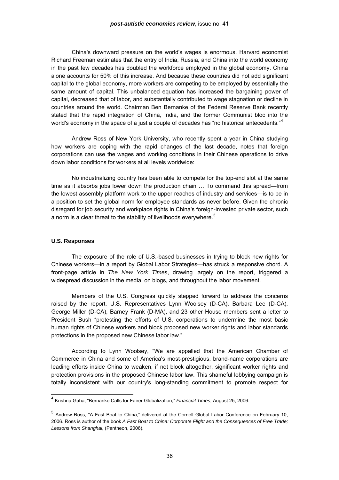<span id="page-35-0"></span> China's downward pressure on the world's wages is enormous. Harvard economist Richard Freeman estimates that the entry of India, Russia, and China into the world economy in the past few decades has doubled the workforce employed in the global economy. China alone accounts for 50% of this increase. And because these countries did not add significant capital to the global economy, more workers are competing to be employed by essentially the same amount of capital. This unbalanced equation has increased the bargaining power of capital, decreased that of labor, and substantially contributed to wage stagnation or decline in countries around the world. Chairman Ben Bernanke of the Federal Reserve Bank recently stated that the rapid integration of China, India, and the former Communist bloc into the world's economy in the space of a just a couple of decades has "no historical antecedents." $4$ 

 Andrew Ross of New York University, who recently spent a year in China studying how workers are coping with the rapid changes of the last decade, notes that foreign corporations can use the wages and working conditions in their Chinese operations to drive down labor conditions for workers at all levels worldwide:

 No industrializing country has been able to compete for the top-end slot at the same time as it absorbs jobs lower down the production chain … To command this spread—from the lowest assembly platform work to the upper reaches of industry and services—is to be in a position to set the global norm for employee standards as never before. Given the chronic disregard for job security and workplace rights in China's foreign-invested private sector, such a norm is a clear threat to the stability of livelihoods everywhere.<sup>[5](#page-35-0)</sup>

### **U.S. Responses**

l

 The exposure of the role of U.S.-based businesses in trying to block new rights for Chinese workers—in a report by Global Labor Strategies—has struck a responsive chord. A front-page article in *The New York Times*, drawing largely on the report, triggered a widespread discussion in the media, on blogs, and throughout the labor movement.

 Members of the U.S. Congress quickly stepped forward to address the concerns raised by the report. U.S. Representatives Lynn Woolsey (D-CA), Barbara Lee (D-CA), George Miller (D-CA), Barney Frank (D-MA), and 23 other House members sent a letter to President Bush "protesting the efforts of U.S. corporations to undermine the most basic human rights of Chinese workers and block proposed new worker rights and labor standards protections in the proposed new Chinese labor law."

 According to Lynn Woolsey, "We are appalled that the American Chamber of Commerce in China and some of America's most-prestigious, brand-name corporations are leading efforts inside China to weaken, if not block altogether, significant worker rights and protection provisions in the proposed Chinese labor law. This shameful lobbying campaign is totally inconsistent with our country's long-standing commitment to promote respect for

<sup>4</sup> Krishna Guha, "Bernanke Calls for Fairer Globalization," *Financial Times*, August 25, 2006.

<sup>5</sup> Andrew Ross, "A Fast Boat to China," delivered at the Cornell Global Labor Conference on February 10, 2006. Ross is author of the book *A Fast Boat to China: Corporate Flight and the Consequences of Free Trade; Lessons from Shanghai*, (Pantheon, 2006).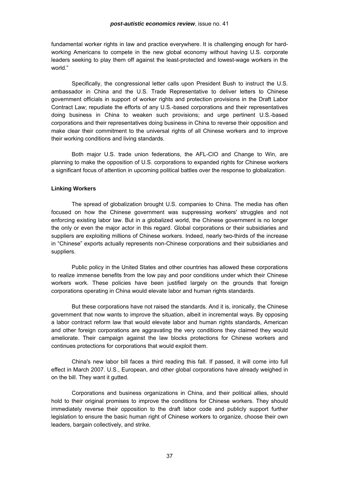### *post-autistic economics review*, issue no. 41

fundamental worker rights in law and practice everywhere. It is challenging enough for hardworking Americans to compete in the new global economy without having U.S. corporate leaders seeking to play them off against the least-protected and lowest-wage workers in the world."

 Specifically, the congressional letter calls upon President Bush to instruct the U.S. ambassador in China and the U.S. Trade Representative to deliver letters to Chinese government officials in support of worker rights and protection provisions in the Draft Labor Contract Law; repudiate the efforts of any U.S.-based corporations and their representatives doing business in China to weaken such provisions; and urge pertinent U.S.-based corporations and their representatives doing business in China to reverse their opposition and make clear their commitment to the universal rights of all Chinese workers and to improve their working conditions and living standards.

 Both major U.S. trade union federations, the AFL-CIO and Change to Win, are planning to make the opposition of U.S. corporations to expanded rights for Chinese workers a significant focus of attention in upcoming political battles over the response to globalization.

### **Linking Workers**

 The spread of globalization brought U.S. companies to China. The media has often focused on how the Chinese government was suppressing workers' struggles and not enforcing existing labor law. But in a globalized world, the Chinese government is no longer the only or even the major actor in this regard. Global corporations or their subsidiaries and suppliers are exploiting millions of Chinese workers. Indeed, nearly two-thirds of the increase in "Chinese" exports actually represents non-Chinese corporations and their subsidiaries and suppliers.

 Public policy in the United States and other countries has allowed these corporations to realize immense benefits from the low pay and poor conditions under which their Chinese workers work. These policies have been justified largely on the grounds that foreign corporations operating in China would elevate labor and human rights standards.

 But these corporations have not raised the standards. And it is, ironically, the Chinese government that now wants to improve the situation, albeit in incremental ways. By opposing a labor contract reform law that would elevate labor and human rights standards, American and other foreign corporations are aggravating the very conditions they claimed they would ameliorate. Their campaign against the law blocks protections for Chinese workers and continues protections for corporations that would exploit them.

 China's new labor bill faces a third reading this fall. If passed, it will come into full effect in March 2007. U.S., European, and other global corporations have already weighed in on the bill. They want it gutted.

 Corporations and business organizations in China, and their political allies, should hold to their original promises to improve the conditions for Chinese workers. They should immediately reverse their opposition to the draft labor code and publicly support further legislation to ensure the basic human right of Chinese workers to organize, choose their own leaders, bargain collectively, and strike.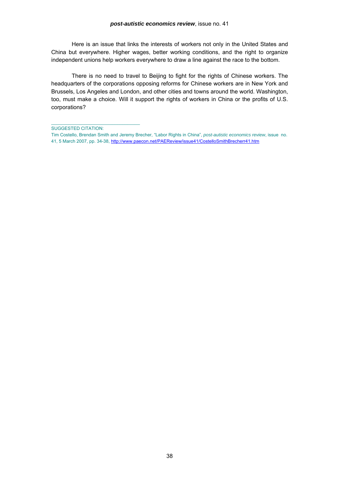Here is an issue that links the interests of workers not only in the United States and China but everywhere. Higher wages, better working conditions, and the right to organize independent unions help workers everywhere to draw a line against the race to the bottom.

 There is no need to travel to Beijing to fight for the rights of Chinese workers. The headquarters of the corporations opposing reforms for Chinese workers are in New York and Brussels, Los Angeles and London, and other cities and towns around the world. Washington, too, must make a choice. Will it support the rights of workers in China or the profits of U.S. corporations?

SUGGESTED CITATION:

 $\mathcal{L}_\text{max}$  and  $\mathcal{L}_\text{max}$  and  $\mathcal{L}_\text{max}$  and  $\mathcal{L}_\text{max}$ 

Tim Costello, Brendan Smith and Jeremy Brecher, "Labor Rights in China", *post-autistic economics rev[ie](http://www.paecon.net/PAEReview/issue41/Goodacre41.htm)w*, issue no. 41, 5 March 2007, pp. 34-38, [http://www.paecon.net/PAEReview/issue41/CostelloSmithBrecherr41.htm](http://www.paecon.net/PAEReview/issue41/Goodacre41.htm)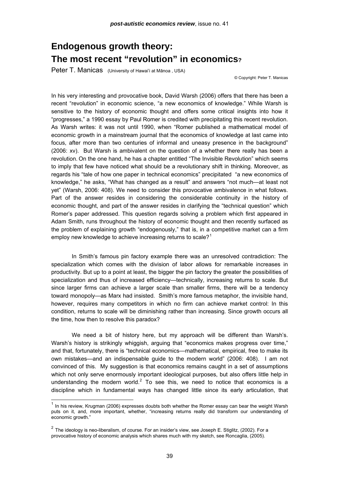# <span id="page-38-0"></span>**Endogenous growth theory: The most recent "revolution" in economics?**

Peter T. Manicas (University of Hawai'i at Mānoa, USA)

© Copyright: Peter T. Manicas

In his very interesting and provocative book, David Warsh (2006) offers that there has been a recent "revolution" in economic science, "a new economics of knowledge." While Warsh is sensitive to the history of economic thought and offers some critical insights into how it "progresses," a 1990 essay by Paul Romer is credited with precipitating this recent revolution. As Warsh writes: it was not until 1990, when "Romer published a mathematical model of economic growth in a mainstream journal that the economics of knowledge at last came into focus, after more than two centuries of informal and uneasy presence in the background" (2006: xv). But Warsh is ambivalent on the question of a whether there really has been a revolution. On the one hand, he has a chapter entitled "The Invisible Revolution" which seems to imply that few have noticed what should be a revolutionary shift in thinking. Moreover, as regards his "tale of how one paper in technical economics" precipitated "a new economics of knowledge," he asks, "What has changed as a result" and answers "not much—at least not yet" (Warsh, 2006: 408). We need to consider this provocative ambivalence in what follows. Part of the answer resides in considering the considerable continuity in the history of economic thought, and part of the answer resides in clarifying the "technical question" which Romer's paper addressed. This question regards solving a problem which first appeared in Adam Smith, runs throughout the history of economic thought and then recently surfaced as the problem of explaining growth "endogenously," that is, in a competitive market can a firm employ new knowledge to achieve increasing returns to scale?<sup>[1](#page-38-0)</sup>

In Smith's famous pin factory example there was an unresolved contradiction: The specialization which comes with the division of labor allows for remarkable increases in productivity. But up to a point at least, the bigger the pin factory the greater the possibilities of specialization and thus of increased efficiency—technically, increasing returns to scale. But since larger firms can achieve a larger scale than smaller firms, there will be a tendency toward monopoly—as Marx had insisted. Smith's more famous metaphor, the invisible hand, however, requires many competitors in which no firm can achieve market control: In this condition, returns to scale will be diminishing rather than increasing. Since growth occurs all the time, how then to resolve this paradox?

We need a bit of history here, but my approach will be different than Warsh's. Warsh's history is strikingly whiggish, arguing that "economics makes progress over time," and that, fortunately, there is "technical economics—mathematical, empirical, free to make its own mistakes—and an indispensable guide to the modern world" (2006: 408). I am not convinced of this. My suggestion is that economics remains caught in a set of assumptions which not only serve enormously important ideological purposes, but also offers little help in understanding the modern world. $2$  To see this, we need to notice that economics is a discipline which in fundamental ways has changed little since its early articulation, that

 $1$  In his review, Krugman (2006) expresses doubts both whether the Romer essay can bear the weight Warsh puts on it, and, more important, whether, "increasing returns really did transform our understanding of economic growth."

 $2$  The ideology is neo-liberalism, of course. For an insider's view, see Joseph E. Stiglitz, (2002). For a provocative history of economic analysis which shares much with my sketch, see Roncaglia, (2005).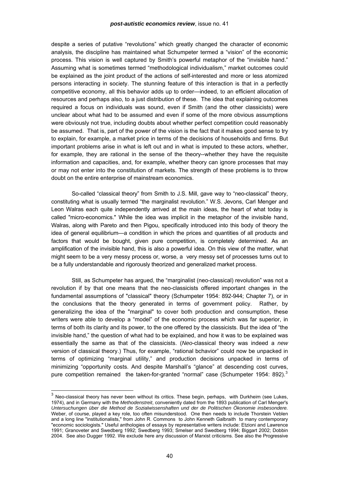<span id="page-39-0"></span>despite a series of putative "revolutions" which greatly changed the character of economic analysis, the discipline has maintained what Schumpeter termed a "vision" of the economic process. This vision is well captured by Smith's powerful metaphor of the "invisible hand." Assuming what is sometimes termed "methodological individualism," market outcomes could be explained as the joint product of the actions of self-interested and more or less atomized persons interacting in society. The stunning feature of this interaction is that in a perfectly competitive economy, all this behavior adds up to order—indeed, to an efficient allocation of resources and perhaps also, to a just distribution of these. The idea that explaining outcomes required a focus on individuals was sound, even if Smith (and the other classicists) were unclear about what had to be assumed and even if some of the more obvious assumptions were obviously not true, including doubts about whether perfect competition could reasonably be assumed. That is, part of the power of the vision is the fact that it makes good sense to try to explain, for example, a market price in terms of the decisions of households and firms. But important problems arise in what is left out and in what is imputed to these actors, whether, for example, they are rational in the sense of the theory--whether they have the requisite information and capacities, and, for example, whether theory can ignore processes that may or may not enter into the constitution of markets. The strength of these problems is to throw doubt on the entire enterprise of mainstream economics.

So-called "classical theory" from Smith to J.S. Mill, gave way to "neo-classical" theory, constituting what is usually termed "the marginalist revolution." W.S. Jevons, Carl Menger and Leon Walras each quite independently arrived at the main ideas, the heart of what today is called "micro-economics." While the idea was implicit in the metaphor of the invisible hand, Walras, along with Pareto and then Pigou, specifically introduced into this body of theory the idea of general equilibrium—a condition in which the prices and quantities of all products and factors that would be bought, given pure competition, is completely determined. As an amplification of the invisible hand, this is also a powerful idea. On this view of the matter, what might seem to be a very messy process or, worse, a very messy set of processes turns out to be a fully understandable and rigorously theorized and generalized market process.

Still, as Schumpeter has argued, the "marginalist (neo-classical) revolution" was not a revolution if by that one means that the neo-classicists offered important changes in the fundamental assumptions of "classical" theory (Schumpeter 1954: 892-944; Chapter 7), or in the conclusions that the theory generated in terms of government policy. Rather, by generalizing the idea of the "marginal" to cover both production and consumption, these writers were able to develop a "model" of the economic process which was far superior, in terms of both its clarity and its power, to the one offered by the classicists. But the idea of "the invisible hand," the question of what had to be explained, and how it was to be explained was essentially the same as that of the classicists. (*Neo*-classical theory was indeed a *new* version of classical theory.) Thus, for example, "rational bchavior" could now be unpacked in terms of optimizing "marginal utility," and production decisions unpacked in terms of minimizing "opportunity costs. And despite Marshall's "glance" at descending cost curves, pure competition remained the taken-for-granted "normal" case (Schumpeter 1954: 892). $3$ 

 $\overline{a}$ 

 $3$  Neo-classical theory has never been without its critics. These begin, perhaps, with Durkheim (see Lukes, 1974), and in Germany with the *Methodenstreit*, conveniently dated from the 1893 publication of Carl Menger's *Untersuchungen über die Method de Sozialwissenshaften und der de Politischen Ökonomie insbesondere.*  Weber, of course, played a key role, too often misunderstood. One then needs to include Thorstein Veblen and a long line "institutionalists," from John R. Commons to John Kenneth Galbraith to many contemporary "economic sociologists." Useful anthologies of essays by representative writers include: Etzioni and Lawrence 1991; Granoveter and Swedberg 1992; Swedberg 1993; Smelser and Swedberg 1994; Biggart 2002; Dobbin 2004. See also Dugger 1992. We exclude here any discussion of Marxist criticisms. See also the Progressive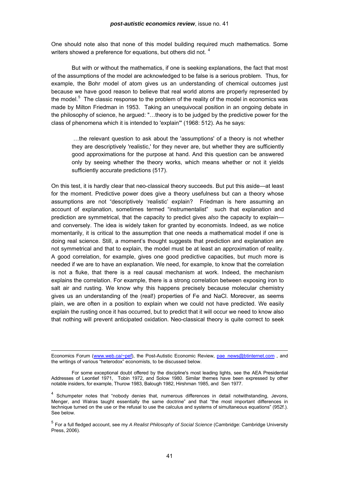<span id="page-40-0"></span>One should note also that none of this model building required much mathematics. Some writers showed a preference for equations, but others did not.<sup>[4](#page-40-0)</sup>

But with or without the mathematics, if one is seeking explanations, the fact that most of the assumptions of the model are acknowledged to be false is a serious problem. Thus, for example, the Bohr model of atom gives us an understanding of chemical outcomes just because we have good reason to believe that real world atoms are properly represented by the model.<sup>[5](#page-40-0)</sup> The classic response to the problem of the reality of the model in economics was made by Milton Friedman in 1953. Taking an unequivocal position in an ongoing debate in the philosophy of science, he argued: "…theory is to be judged by the predictive power for the class of phenomena which it is intended to 'explain'" (1968: 512). As he says:

 …the relevant question to ask about the 'assumptions' of a theory is not whether they are descriptively 'realistic,' for they never are, but whether they are sufficiently good approximations for the purpose at hand. And this question can be answered only by seeing whether the theory works, which means whether or not it yields sufficiently accurate predictions (517).

On this test, it is hardly clear that neo-classical theory succeeds. But put this aside—at least for the moment. Predictive power does give a theory usefulness but can a theory whose assumptions are not "descriptively 'realistic' explain? Friedman is here assuming an account of explanation, sometimes termed "instrumentalist" such that explanation and prediction are symmetrical, that the capacity to predict gives *also* the capacity to explain and conversely. The idea is widely taken for granted by economists. Indeed, as we notice momentarily, it is critical to the assumption that one needs a mathematical model if one is doing real science. Still, a moment's thought suggests that prediction and explanation are not symmetrical and that to explain, the model must be at least an approximation of reality. A good correlation, for example, gives one good predictive capacities, but much more is needed if we are to have an explanation. We need, for example, to know that the correlation is not a fluke, that there is a real causal mechanism at work. Indeed, the mechanism explains the correlation. For example, there is a strong correlation between exposing iron to salt air and rusting. We know why this happens precisely because molecular chemistry gives us an understanding of the (real!) properties of Fe and NaCl. Moreover, as seems plain, we are often in a position to explain when we could not have predicted. We easily explain the rusting once it has occurred, but to predict that it will occur we need to know also that nothing will prevent anticipated oxidation. Neo-classical theory is quite correct to seek

Economics Forum [\(www.web.ca/~pef](http://www.web.ca/%7Epef)), the Post-Autistic Economic Review, pae\_news@btinternet.com, and the writings of various "heterodox" economists, to be discussed below.

For some exceptional doubt offered by the discipline's most leading lights, see the AEA Presidential Addresses of Leontief 1971, Tobin 1972, and Solow 1980. Similar themes have been expressed by other notable insiders, for example, Thurow 1983, Balough 1982, Hirshman 1985, and Sen 1977.

<sup>&</sup>lt;sup>4</sup> Schumpeter notes that "nobody denies that, numerous differences in detail notwithstanding, Jevons, Menger, and Walras taught essentially the same doctrine" and that "the most important differences in technique turned on the use or the refusal to use the calculus and systems of simultaneous equations" (952f.). See below.

<sup>5</sup> For a full fledged account, see my *A Realist Philosophy of Social Science* (Cambridge: Cambridge University Press, 2006).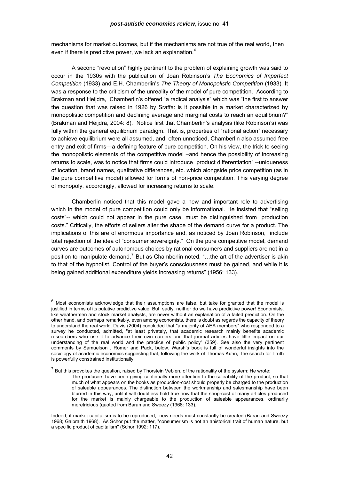<span id="page-41-0"></span>mechanisms for market outcomes, but if the mechanisms are not true of the real world, then even if there is predictive power, we lack an explanation.<sup>[6](#page-41-0)</sup>

A second "revolution" highly pertinent to the problem of explaining growth was said to occur in the 1930s with the publication of Joan Robinson's *The Economics of Imperfect Competition* (1933) and E.H. Chamberlin's *The Theory of Monopolistic Competition* (1933). It was a response to the criticism of the unreality of the model of pure competition. According to Brakman and Heijdra, Chamberlin's offered "a radical analysis" which was "the first to answer the question that was raised in 1926 by Sraffa: is it possible in a market characterized by monopolistic competition and declining average and marginal costs to reach an equilibrium?" (Brakman and Heijdra, 2004: 8). Notice first that Chamberlin's analysis (like Robinson's) was fully within the general equilibrium paradigm. That is, properties of "rational action" necessary to achieve equilibrium were all assumed, and, often unnoticed, Chamberlin also assumed free entry and exit of firms—a defining feature of pure competition. On his view, the trick to seeing the monopolistic elements of the competitive model –and hence the possibility of increasing returns to scale, was to notice that firms could introduce "product differentiation" --uniqueness of location, brand names, qualitative differences, etc. which alongside price competition (as in the pure competitive model) allowed for forms of non-price competition. This varying degree of monopoly, accordingly, allowed for increasing returns to scale.

Chamberlin noticed that this model gave a new and important role to advertising which in the model of pure competition could only be informational. He insisted that "selling costs"-- which could not appear in the pure case, must be distinguished from "production costs." Critically, the efforts of sellers alter the shape of the demand curve for a product. The implications of this are of enormous importance and, as noticed by Joan Robinson, include total rejection of the idea of "consumer sovereignty." On the pure competitive model, demand curves are outcomes of autonomous choices by rational consumers and suppliers are not in a position to manipulate demand.<sup>[7](#page-41-0)</sup> But as Chamberlin noted, "...the art of the advertiser is akin to that of the hypnotist. Control of the buyer's consciousness must be gained, and while it is being gained additional expenditure yields increasing returns" (1956: 133).

 $^6$  Most economists acknowledge that their assumptions are false, but take for granted that the model is justified in terms of its putative predictive value. But, sadly, neither do we have predictive power! Economists, like weathermen and stock market analysts, are never without an explanation of a failed prediction. On the other hand, and perhaps remarkably, even among economists, there is doubt as regards the capacity of theory to understand the real world. Davis (2004) concluded that "a majority of AEA members" who responded to a survey he conducted, admitted, "at least privately, that academic research mainly benefits academic researchers who use it to advance their own careers and that journal articles have little impact on our understanding of the real world and the practice of public policy" (359). See also the very pertinent comments by Samuelson , Romer and Pack, below. Warsh's book is full of wonderful insights into the sociology of academic economics suggesting that, following the work of Thomas Kuhn, the search for Truth is powerfully constrained institutionally.

 $<sup>7</sup>$  But this provokes the question, raised by Thorstein Veblen, of the rationality of the system: He wrote:</sup> The producers have been giving continually more attention to the saleability of the product, so that much of what appears on the books as production-cost should properly be charged to the production of saleable appearances. The distinction between the workmanship and salesmanship have been blurred in this way, until it will doubtless hold true now that the shop-cost of many articles produced for the market is mainly chargeable to the production of saleable appearances, ordinarily meretricious (quoted from Baran and Sweezy (1968: 133).

Indeed, if market capitalism is to be reproduced, new needs must constantly be created (Baran and Sweezy 1968; Galbraith 1968). As Schor put the matter, "consumerism is not an ahistorical trait of human nature, but a specific product of capitalism" (Schor 1992: 117).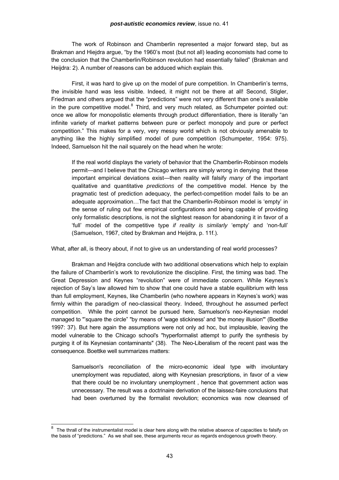### *post-autistic economics review*, issue no. 41

<span id="page-42-0"></span>The work of Robinson and Chamberlin represented a major forward step, but as Brakman and Hiejdra argue, "by the 1960's most (but not all) leading economists had come to the conclusion that the Chamberlin/Robinson revolution had essentially failed" (Brakman and Heijdra: 2). A number of reasons can be adduced which explain this.

First, it was hard to give up on the model of pure competition. In Chamberlin's terms, the invisible hand was less visible. Indeed, it might not be there at all! Second, Stigler, Friedman and others argued that the "predictions" were not very different than one's available in the pure competitive model. $^8$  $^8$  Third, and very much related, as Schumpeter pointed out: once we allow for monopolistic elements through product differentiation, there is literally "an infinite variety of market patterns between pure or perfect monopoly and pure or perfect competition." This makes for a very, very messy world which is not obviously amenable to anything like the highly simplified model of pure competition (Schumpeter, 1954: 975). Indeed, Samuelson hit the nail squarely on the head when he wrote:

If the real world displays the variety of behavior that the Chamberlin-Robinson models permit—and I believe that the Chicago writers are simply wrong in denying that these important empirical deviations exist—then reality will falsify *many* of the important qualitative and quantitative *predictions* of the competitive model. Hence by the pragmatic test of prediction adequacy, the perfect-competition model fails to be an adequate approximation…The fact that the Chamberlin-Robinson model is 'empty' in the sense of ruling out few empirical configurations and being capable of providing only formalistic descriptions, is not the slightest reason for abandoning it in favor of a 'full' model of the competitive type *if reality is similarly* 'empty' and 'non-full' (Samuelson, 1967, cited by Brakman and Heijdra, p. 11f.).

What, after all, is theory about, if not to give us an understanding of real world processes?

Brakman and Heijdra conclude with two additional observations which help to explain the failure of Chamberlin's work to revolutionize the discipline. First, the timing was bad. The Great Depression and Keynes "revolution" were of immediate concern. While Keynes's rejection of Say's law allowed him to show that one could have a stable equilibrium with less than full employment, Keynes, like Chamberlin (who nowhere appears in Keynes's work) was firmly within the paradigm of neo-classical theory. Indeed, throughout he assumed perfect competition. While the point cannot be pursued here, Samuelson's neo-Keynesian model managed to "'square the circle" "by means of 'wage stickiness' and 'the money illusion'" (Boettke 1997: 37). But here again the assumptions were not only ad hoc, but implausible, leaving the model vulnerable to the Chicago school's "hyperformalist attempt to purify the synthesis by purging it of its Keynesian contaminants" (38). The Neo-Liberalism of the recent past was the consequence. Boettke well summarizes matters:

Samuelson's reconciliation of the micro-economic ideal type with involuntary unemployment was repudiated, along with Keynesian prescriptions, in favor of a view that there could be no involuntary unemployment , hence that government action was unnecessary. The result was a doctrinaire derivation of the laissez-faire conclusions that had been overturned by the formalist revolution; economics was now cleansed of

enties.<br><sup>8</sup> The thrall of the instrumentalist model is clear here along with the relative absence of capacities to falsify on the basis of "predictions." As we shall see, these arguments recur as regards endogenous growth theory.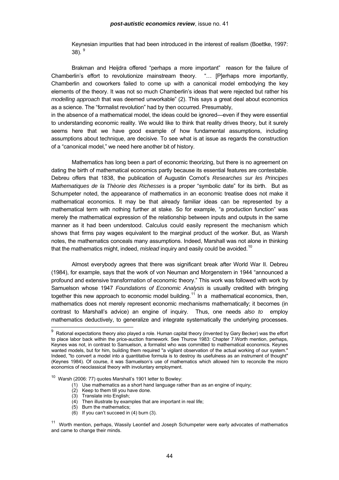<span id="page-43-0"></span>Keynesian impurities that had been introduced in the interest of realism (Boettke, 1997: 38).  $9^{\circ}$  $9^{\circ}$ 

 Brakman and Heijdra offered "perhaps a more important" reason for the failure of Chamberlin's effort to revolutionize mainstream theory. "… [P]erhaps more importantly, Chamberlin and coworkers failed to come up with a canonical model embodying the key elements of the theory. It was not so much Chamberlin's ideas that were rejected but rather his *modelling approach* that was deemed unworkable" (2). This says a great deal about economics as a science. The "formalist revolution" had by then occurred. Presumably,

in the absence of a mathematical model, the ideas could be ignored—even if they were essential to understanding economic reality. We would like to think that reality drives theory, but it surely seems here that we have good example of how fundamental assumptions, including assumptions about technique, are decisive. To see what is at issue as regards the construction of a "canonical model," we need here another bit of history.

 Mathematics has long been a part of economic theorizing, but there is no agreement on dating the birth of mathematical economics partly because its essential features are contestable. Debreu offers that 1838, the publication of Augustin Cornot's *Researches sur les Principes Mathematiques de la Thèorie des Richesses* is a proper "symbolic date" for its birth. But as Schumpeter noted, the appearance of mathematics in an economic treatise does not make it mathematical economics. It may be that already familiar ideas can be represented by a mathematical term with nothing further at stake. So for example, "a production function" was merely the mathematical expression of the relationship between inputs and outputs in the same manner as it had been understood. Calculus could easily represent the mechanism which shows that firms pay wages equivalent to the marginal product of the worker. But, as Warsh notes, the mathematics conceals many assumptions. Indeed, Marshall was not alone in thinking that the mathematics might, indeed, *mislead* inquiry and easily could be avoided.<sup>[10](#page-43-0)</sup>

 Almost everybody agrees that there was significant break after World War II. Debreu (1984), for example, says that the work of von Neuman and Morgenstern in 1944 "announced a profound and extensive transformation of economic theory." This work was followed with work by Samuelson whose 1947 *Foundations of Economic Analysis* is usually credited with bringing together this new approach to economic model building.<sup>[11](#page-43-0)</sup> In a mathematical economics, then, mathematics does not merely represent economic mechanisms mathematically; it becomes (in contrast to Marshall's advice) an engine of inquiry. Thus, one needs *also to* employ mathematics deductively, to generalize and integrate systematically the underlying processes.

10 Warsh (2006: 77) quotes Marshall's 1901 letter to Bowley:

- $(1)$  Use mathematics as a short hand language rather than as an engine of inquiry;
- $(2)$  Keep to them till you have done.
- (3) Translate into English;

- $(4)$  Then illustrate by examples that are important in real life;
- (5) Burn the mathematics;
- (6) If you can't succeed in (4) burn (3).

 $^9$  Rational expectations theory also played a role. Human capital theory (invented by Gary Becker) was the effort to place labor back within the price-auction framework. See Thurow 1983: Chapter 7.Worth mention, perhaps, Keynes was not, in contrast to Samuelson, a formalist who was committed to mathematical economics. Keynes wanted models, but for him, building them required "a vigilant observation of the actual working of our system." Indeed, "to convert a model into a quantitative formula is to destroy its usefulness as an instrument of thought" (Keynes 1984). Of course, it was Samuelson's use of mathematics which allowed him to reconcile the micro economics of neoclassical theory with involuntary employment.

<sup>&</sup>lt;sup>11</sup> Worth mention, perhaps, Wassily Leontief and Joseph Schumpeter were early advocates of mathematics and came to change their minds.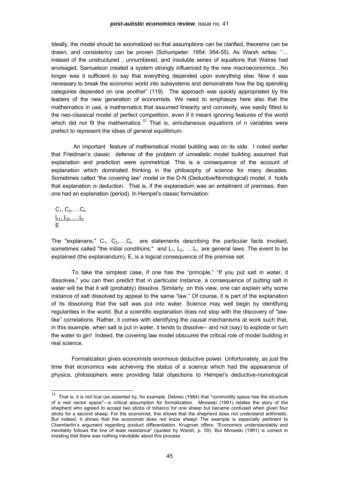<span id="page-44-0"></span>Ideally, the model should be axiomatized so that assumptions can be clarified, theorems can be drawn, and consistency can be proven (Schumpeter: 1954: 954-55). As Warsh writes: "… instead of the unstructured , unnumbered, and insoluble series of equations that Walras had envisaged, Samuelson created a system strongly influenced by the new macroeconomics…No longer was it sufficient to say that everything depended upon everything else. Now it was necessary to break the economic world into subsystems and demonstrate how the big spending categories depended on one another" (119). The approach was quickly appropriated by the leaders of the new generation of economists. We need to emphasize here also that the mathematics in use, a mathematics that assumed linearity and convexity, was easily fitted to the neo-classical model of perfect competition, even if it meant ignoring features of the world which did not fit the mathematics.<sup>[12](#page-44-0)</sup> That is, simultaneous equations of n variables were prefect to represent the ideas of general equilibrium.

 An important feature of mathematical model building was on its side. I noted earlier that Friedman's classic defense of the problem of unrealistic model building assumed that explanation and prediction were symmetrical. This is a consequence of the account of explanation which dominated thinking in the philosophy of science for many decades. Sometimes called "the covering law" model or the D-N (Deductive/Nomological) model, it holds that explanation *is* deduction. That is, if the explanadum was an entailment of premises, then one had an explanation (period). In Hempel's classic formulation:

 $C_1, C_2, \ldots, C_k$ <u>L<sub>1</sub>, L<sub>2</sub>, ….L<sub>r</sub></u> E

l

The "explanans,"  $C_1, C_2, \ldots, C_k$  are statements describing the particular facts invoked, sometimes called "the initial conditions," and  $L_1, L_2, \ldots, L_r$  are general laws. The event to be explained (the explanandum), E, is a logical consequence of the premise set.

 To take the simplest case, if one has the "principle," "If you put salt in water, it dissolves," you can then predict that in particular instance, a consequence of putting salt in water will be that it will (probably) dissolve. Similarly, on this view, one can explain why some instance of salt dissolved by appeal to the same "law." Of course, it is part of the explanation of its dissolving that the salt was put into water. Science may well begin by identifying regularities in the world. But a scientific explanation does not stop with the discovery of "lawlike" correlations. Rather, it comes with identifying the causal mechanisms at work such that, in this example, when salt is put in water, it tends to dissolve-- and not (say) to explode or turn the water to gin! Indeed, the covering law model obscures the critical role of model building in real science.

 Formalization gives economists enormous deductive power. Unfortunately, as just the time that economics was achieving the status of a science which had the appearance of physics, philosophers were providing fatal objections to Hempel's deductive-nomological

 $12$  That is, it is not true (as asserted by, for example, Debreu (1984) that "commodity space has the structure of a real vector space"—a critical assumption for formalization. Mirowski (1991) relates the story of the shepherd who agreed to accept two sticks of tobacco for one sheep but became confused when given four sticks for a second sheep. For the economist, this shows that the shepherd does not understand arithmetic. But indeed, it shows that the economist does not know sheep! The example is especially pertinent to Chamberlin's argument regarding product differentiation. Krugman offers: "Economics understandably and inevitably follows the line of least resistance" (quoted by Warsh, p. 59). But Mirowski (1991) is correct in insisting that there was nothing inevitable about this process.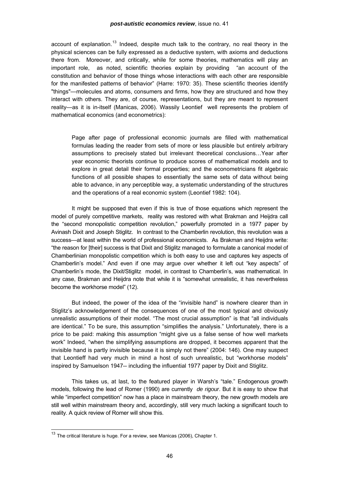<span id="page-45-0"></span>account of explanation.<sup>[13](#page-45-0)</sup> Indeed, despite much talk to the contrary, no real theory in the physical sciences can be fully expressed as a deductive system, with axioms and deductions there from. Moreover, and critically, while for some theories, mathematics will play an important role, as noted, scientific theories explain by providing "an account of the constitution and behavior of those things whose interactions with each other are responsible for the manifested patterns of behavior" (Harre: 1970: 35). These scientific theories identify "things"—molecules and atoms, consumers and firms, how they are structured and how they interact with others. They are, of course, representations, but they are meant to represent reality—as it is in-itself (Manicas, 2006). Wassily Leontief well represents the problem of mathematical economics (and econometrics):

Page after page of professional economic journals are filled with mathematical formulas leading the reader from sets of more or less plausible but entirely arbitrary assumptions to precisely stated but irrelevant theoretical conclusions…Year after year economic theorists continue to produce scores of mathematical models and to explore in great detail their formal properties; and the econometricians fit algebraic functions of all possible shapes to essentially the same sets of data without being able to advance, in any perceptible way, a systematic understanding of the structures and the operations of a real economic system (Leontief 1982: 104).

 It might be supposed that even if this is true of those equations which represent the model of purely competitive markets, reality was restored with what Brakman and Heijdra call the "second monopolistic competition revolution," powerfully promoted in a 1977 paper by Avinash Dixit and Joseph Stiglitz. In contrast to the Chamberlin revolution, this revolution was a success—at least within the world of professional economicsts. As Brakman and Heijdra write: "the reason for [their] success is that Dixit and Stiglitz managed to formulate a canonical model of Chamberlinian monopolistic competition which is both easy to use and captures key aspects of Chamberlin's model." And even if one may argue over whether it left out "key aspects" of Chamberlin's mode, the Dixit/Stiglitz model, in contrast to Chamberlin's, was mathematical. In any case, Brakman and Heijdra note that while it is "somewhat unrealistic, it has nevertheless become the workhorse model" (12).

 But indeed, the power of the idea of the "invisible hand" is nowhere clearer than in Stiglitz's acknowledgement of the consequences of one of the most typical and obviously unrealistic assumptions of their model. "The most crucial assumption" is that "all individuals are identical." To be sure, this assumption "simplifies the analysis." Unfortunately, there is a price to be paid: making this assumption "might give us a false sense of how well markets work" Indeed, "when the simplifying assumptions are dropped, it becomes apparent that the invisible hand is partly invisible because it is simply not there" (2004: 146). One may suspect that Leontieff had very much in mind a host of such unrealistic, but "workhorse models" inspired by Samuelson 1947-- including the influential 1977 paper by Dixit and Stiglitz.

 This takes us, at last, to the featured player in Warsh's "tale." Endogenous growth models, following the lead of Romer (1990) are currently *de rigour*. But it is easy to show that while "imperfect competition" now has a place in mainstream theory, the new growth models are still well within mainstream theory and, accordingly, still very much lacking a significant touch to reality. A quick review of Romer will show this.

 $^{13}$  The critical literature is huge. For a review, see Manicas (2006), Chapter 1.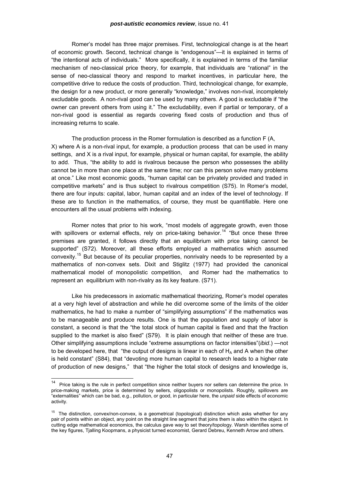<span id="page-46-0"></span>Romer's model has three major premises. First, technological change is at the heart of economic growth. Second, technical change is "endogenous"—it is explained in terms of "the intentional acts of individuals." More specifically, it is explained in terms of the familiar mechanism of neo-classical price theory, for example, that individuals are "rational" in the sense of neo-classical theory and respond to market incentives, in particular here, the competitive drive to reduce the costs of production. Third, technological change, for example, the design for a new product, or more generally "knowledge," involves non-rival, incompletely excludable goods. A non-rival good can be used by many others. A good is excludable if "the owner can prevent others from using it." The excludability, even if partial or temporary, of a non-rival good is essential as regards covering fixed costs of production and thus of increasing returns to scale.

The production process in the Romer formulation is described as a function F (A, X) where A is a non-rival input, for example, a production process that can be used in many settings, and X is a rival input, for example, physical or human capital, for example, the ability to add. Thus, "the ability to add is rivalrous because the person who possesses the ability cannot be in more than one place at the same time; nor can this person solve many problems at once." Like most economic goods, "human capital can be privately provided and traded in competitive markets" and is thus subject to rivalrous competition (S75). In Romer's model, there are four inputs: capital, labor, human capital and an index of the level of technology. If these are to function in the mathematics, of course, they must be quantifiable. Here one encounters all the usual problems with indexing.

Romer notes that prior to his work, "most models of aggregate growth, even those with spillovers or external effects, rely on price-taking behavior.<sup>[14](#page-46-0)</sup> "But once these three premises are granted, it follows directly that an equilibrium with price taking cannot be supported" (S72). Moreover, all these efforts employed a mathematics which assumed convexity.[15](#page-46-0) But because of its peculiar properties, nonrivalry needs to be represented by a mathematics of non-convex sets. Dixit and Stiglitz (1977) had provided the canonical mathematical model of monopolistic competition, and Romer had the mathematics to represent an equilibrium with non-rivalry as its key feature. (S71).

 Like his predecessors in axiomatic mathematical theorizing, Romer's model operates at a very high level of abstraction and while he did overcome some of the limits of the older mathematics, he had to make a number of "simplifying assumptions" if the mathematics was to be manageable and produce results. One is that the population and supply of labor is constant, a second is that the "the total stock of human capital is fixed and that the fraction supplied to the market is also fixed" (S79). It is plain enough that neither of these are true. Other simplifying assumptions include "extreme assumptions on factor intensities"(*ibid*.) —not to be developed here, that "the output of designs is linear in each of  $H_A$  and A when the other is held constant" (S84), that "devoting more human capital to research leads to a higher rate of production of new designs," that "the higher the total stock of designs and knowledge is,

<sup>14</sup> Price taking is the rule in perfect competition since neither buyers nor sellers can determine the price. In price-making markets, price is determined by sellers, oligopolists or monopolists. Roughly, spillovers are "externalities" which can be bad, e.g., pollution, or good, in particular here, the *unpaid* side effects of economic activity.

<sup>&</sup>lt;sup>15</sup> The distinction, convex/non-convex, is a geometrical (topological) distinction which asks whether for any pair of points within an object, any point on the straight line segment that joins them is also within the object. In cutting edge mathematical economics, the calculus gave way to set theory/topology. Warsh identifies some of the key figures, Tjalling Koopmans, a physicist turned economist, Gerard Debreu, Kenneth Arrow and others.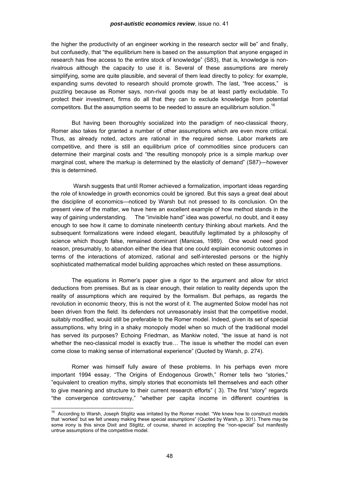<span id="page-47-0"></span>the higher the productivity of an engineer working in the research sector will be" and finally, but confusedly, that "the equilibrium here is based on the assumption that anyone engaged in research has free access to the entire stock of knowledge" (S83), that is, knowledge is nonrivalrous although the capacity to use it is. Several of these assumptions are merely simplifying, some are quite plausible, and several of them lead directly to policy: for example, expanding sums devoted to research should promote growth. The last, "free access," is puzzling because as Romer says, non-rival goods may be at least partly excludable. To protect their investment, firms do all that they can to exclude knowledge from potential competitors. But the assumption seems to be needed to assure an equilibrium solution.<sup>[16](#page-47-0)</sup>

But having been thoroughly socialized into the paradigm of neo-classical theory, Romer also takes for granted a number of other assumptions which are even more critical. Thus, as already noted, actors are rational in the required sense. Labor markets are competitive, and there is still an equilibrium price of commodities since producers can determine their marginal costs and "the resulting monopoly price is a simple markup over marginal cost, where the markup is determined by the elasticity of demand" (S87)—however this is determined.

 Warsh suggests that until Romer achieved a formalization, important ideas regarding the role of knowledge in growth economics could be ignored. But this says a great deal about the discipline of economics—noticed by Warsh but not pressed to its conclusion. On the present view of the matter, we have here an excellent example of how method stands in the way of gaining understanding. The "invisible hand" idea was powerful, no doubt, and it easy enough to see how it came to dominate nineteenth century thinking about markets. And the subsequent formalizations were indeed elegant, beautifully legitimated by a philosophy of science which though false, remained dominant (Manicas, 1989). One would need good reason, presumably, to abandon either the idea that one could explain economic outcomes in terms of the interactions of atomized, rational and self-interested persons or the highly sophisticated mathematical model building approaches which rested on these assumptions.

 The equations in Romer's paper give a rigor to the argument and allow for strict deductions from premises. But as is clear enough, their relation to reality depends upon the reality of assumptions which are required by the formalism. But perhaps, as regards the revolution in economic theory, this is not the worst of it. The augmented Solow model has not been driven from the field. Its defenders not unreasonably insist that the competitive model, suitably modified, would still be preferable to the Romer model. Indeed, given its set of special assumptions, why bring in a shaky monopoly model when so much of the traditional model has served its purposes? Echoing Friedman, as Mankiw noted, "the issue at hand is not whether the neo-classical model is exactly true… The issue is whether the model can even come close to making sense of international experience" (Quoted by Warsh, p. 274).

 Romer was himself fully aware of these problems. In his perhaps even more important 1994 essay, "The Origins of Endogenous Growth," Romer tells two "stories," "equivalent to creation myths, simply stories that economists tell themselves and each other to give meaning and structure to their current research efforts" ( 3). The first "story" regards "the convergence controversy," "whether per capita income in different countries is

<sup>&</sup>lt;sup>16</sup> According to Warsh, Joseph Stiglitz was irritated by the Romer model. "We knew how to construct models that 'worked' but we felt uneasy making these special assumptions" (Quoted by Warsh, p. 301). There may be some irony is this since Dixit and Stiglitz, of course, shared in accepting the "non-special" but manifestly untrue assumptions of the competitive model.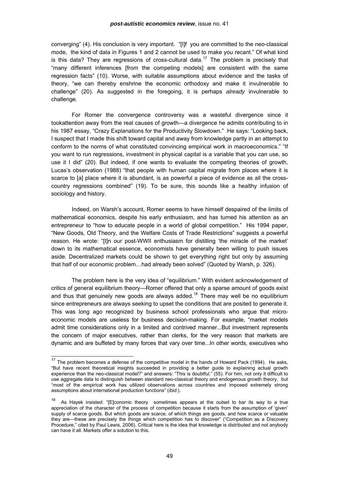<span id="page-48-0"></span>converging" (4). His conclusion is very important. "[I]f you are committed to the neo-classical mode, the kind of data in Figures 1 and 2 cannot be used to make you recant." Of what kind is this data? They are regressions of cross-cultural data.<sup>[17](#page-48-0)</sup> The problem is precisely that "many different inferences [from the competing models] are consistent with the same regression facts" (10). Worse, with suitable assumptions about evidence and the tasks of theory, "we can thereby enshrine the economic orthodoxy and make it invulnerable to challenge" (20). As suggested in the foregoing, it is perhaps *already* invulnerable to challenge.

 For Romer the convergence controversy was a wasteful divergence since it tookattention away from the real causes of growth—a divergence he admits contributing to in his 1987 essay, "Crazy Explanations for the Productivity Slowdown." He says: "Looking back, I suspect that I made this shift toward capital and away from knowledge partly in an attempt to conform to the norms of what constituted convincing empirical work in macroeconomics." "If you want to run regressions, investment in physical capital is a variable that you can use, so use it I did" (20). But indeed, if one wants to evaluate the competing theories of growth, Lucas's observation (1988) "that people with human capital migrate from places where it is scarce to [a] place where it is abundant, is as powerful a piece of evidence as all the crosscountry regressions combined" (19). To be sure, this sounds like a healthy infusion of sociology and history.

Indeed, on Warsh's account, Romer seems to have himself despaired of the limits of mathematical economics, despite his early enthusiasm, and has turned his attention as an entrepreneur to "how to educate people in a world of global competition." His 1994 paper, "New Goods, Old Theory, and the Welfare Costs of Trade Restrictions" suggests a powerful reason. He wrote: "[I]n our post-WWII enthusiasm for distilling 'the miracle of the market' down to its mathematical essence, economists have generally been willing to push issues aside. Decentralized markets could be shown to get everything right but only by assuming that half of our economic problem…had already been solved" (Quoted by Warsh, p. 326).

 The problem here is the very idea of "equilibrium." With evident acknowledgement of critics of general equilibrium theory—Romer offered that only a sparse amount of goods exist and thus that genuinely new goods are always added.<sup>[18](#page-48-0)</sup> There may well be no equilibrium since entrepreneurs are always seeking to upset the conditions that are posited to generate it. This was long ago recognized by business school professionals who argue that microeconomic models are useless for business decision-making. For example, "market models admit time considerations only in a limited and contrived manner...But investment represents the concern of major executives, rather than clerks, for the very reason that markets are dynamic and are buffeted by many forces that vary over time...In other words, executives who

 $17$  The problem becomes a defense of the competitive model in the hands of Howard Pack (1994). He asks, "But have recent theoretical insights succeeded in providing a better guide to explaining actual growth experience than the neo-classical model?" and answers: "This is doubtful." (55). For him, not only it difficult to use aggregate data to distinguish between standard neo-classical theory and endogenous growth theory, but "most of the empirical work has utilized observations across countries and imposed extremely strong assumptions about international production functions" (*ibid*.).

<sup>18</sup> As Hayek insisted: "[E]conomic theory sometimes appears at the outset to bar its way to a true appreciation of the character of the process of competition because it starts from the assumption of 'given' supply of scarce goods. But which goods are scarce, of which things are goods, and how scarce or valuable they are—these are precisely the things which competition has to discover" ("Competition as a Discovery Procedure," cited by Paul Lewis, 2006). Critical here is the idea that knowledge is distributed and not anybody can have it all. Markets offer a solution to this.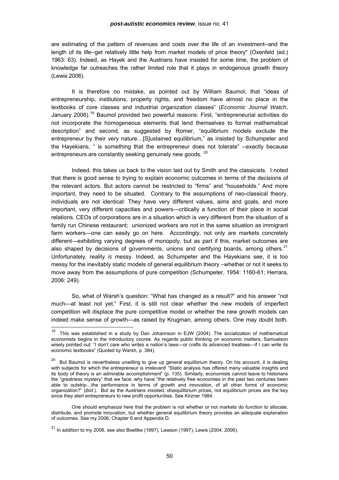<span id="page-49-0"></span>are estimating of the pattern of revenues and costs over the life of an investment--and the length of its life--get relatively little help from market models of price theory" (Oxenfeld (ed.) 1963: 63). Indeed, as Hayek and the Austrians have insisted for some time, the problem of knowledge far outreaches the rather limited role that it plays in endogenous growth theory (Lewis 2006).

It is therefore no mistake, as pointed out by William Baumol, that "ideas of entrepreneurship, institutions, property rights, and freedom have almost no place in the textbooks of core classes and industrial organization classes" (*Economic Journal Watch*, January 2006).<sup>[19](#page-49-0)</sup> Baumol provided two powerful reasons: First, "entrepreneurial activities do not incorporate the homogeneous elements that lend themselves to formal mathematical description" and second, as suggested by Romer, "equilibrium models exclude the entrepreneur by their very nature…[S]ustained equilibrium," as insisted by Schumpeter and the Hayekians, " is something that the entrepreneur does not tolerate" --exactly because entrepreneurs are constantly seeking genuinely new goods. <sup>[20](#page-49-0)</sup>

 Indeed, this takes us back to the vision laid out by Smith and the classicists. I noted that there is good sense to trying to explain economic outcomes in terms of the decisions of the relevant actors. But actors cannot be restricted to "firms" and "households." And more important, they need to be situated. Contrary to the assumptions of neo-classical theory, individuals are not identical: They have very different values, aims and goals, and more important, very different capacities and powers—critically a function of their place in social relations. CEOs of corporations are in a situation which is very different from the situation of a family run Chinese restaurant; unionized workers are not in the same situation as immigrant farm workers—one can easily go on here. Accordingly, not only are markets concretely different—exhibiting varying degrees of monopoly, but as part if this, market outcomes are also shaped by decisions of governments, unions and certifying boards, among others. $2<sup>1</sup>$ Unfortunately, reality *is* messy. Indeed, as Schumpeter and the Hayekians see, it is too messy for the inevitably static models of general equilibrium theory –whether or not it seeks to move away from the assumptions of pure competition (Schumpeter, 1954: 1160-61; Herrara, 2006: 249).

 So, what of Warsh's question: "What has changed as a result?" and his answer "not much—at least not yet." First, it is still not clear whether the new models of imperfect competition will displace the pure competitive model or whether the new growth models can indeed make sense of growth—as raised by Krugman, among others. One may doubt both.

<sup>&</sup>lt;sup>19</sup> This was established in a study by Dan Johannson in EJW (2004). The socialization of mathematical economists begins in the introductory course. As regards public thinking on economic matters, Samuelson wisely pointed out: "I don't care who writes a nation's laws—or crafts its advanced treatises—if I can write its economic textbooks" (Quoted by Warsh, p. 384).

<sup>&</sup>lt;sup>20</sup> But Baumol is nevertheless unwilling to give up general equilibrium theory. On his account, it is dealing with subjects for which the entrepreneur is irrelevant! "Static analysis has offered many valuable insights and its body of theory is an admirable accomplishment" (p. 135). Similarly, economists cannot leave to historians the "greatness mystery" that we face: why have "the relatively free economies in the past two centuries been able to outstrip…the performance in terms of growth and innovation, of all other forms of economic organization?" (*ibid*.). But as the Austrians insisted, *dis*equilibrium prices, not equilibrium prices are the key since they alert entrepreneurs to new profit opportunities. See Kirzner 1984.

One should emphasize here that the problem is not whether or not markets do function to allocate, distribute, and promote innovation, but whether general equilibrium theory provides an adequate explanation of outcomes. See my 2006*,* Chapter 6 and Appendix D.

 $21$  In addition to my 2006, see also Boettke (1997), Lawson (1997), Lewis (2004, 2006).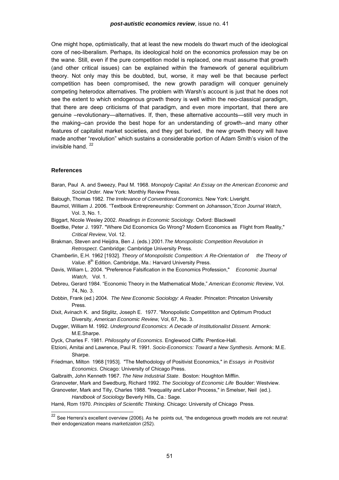<span id="page-50-0"></span>One might hope, optimistically, that at least the new models do thwart much of the ideological core of neo-liberalism. Perhaps, its ideological hold on the economics profession may be on the wane. Still, even if the pure competition model is replaced, one must assume that growth (and other critical issues) can be explained within the framework of general equilibrium theory. Not only may this be doubted, but, worse, it may well be that because perfect competition has been compromised, the new growth paradigm will conquer genuinely competing heterodox alternatives. The problem with Warsh's account is just that he does not see the extent to which endogenous growth theory is well within the neo-classical paradigm, that there are deep criticisms of that paradigm, and even more important, that there are genuine –revolutionary—alternatives. If, then, these alternative accounts—still very much in the making--can provide the best hope for an understanding of growth--and many other features of capitalist market societies, and they get buried, the new growth theory will have made another "revolution" which sustains a considerable portion of Adam Smith's vision of the invisible hand.  $22$ 

### **References**

l

- Baran, Paul A. and Sweezy, Paul M. 1968. *Monopoly Capital: An Essay on the American Economic and Social Order. N*ew York: Monthly Review Press.
- Balough, Thomas 1982. *The Irrelevance of Conventional Economics.* New York: Liveright.
- Baumol, William J. 2006. "Textbook Entrepreneurship: Comment on Johansson,"*Econ Journal Watch*, Vol. 3, No. 1.
- Biggart, Nicole Wesley 2002. *Readings in Economic Sociology*. Oxford: Blackwell
- Boettke, Peter J. 1997. "Where Did Economics Go Wrong? Modern Economics as Flight from Reality," *Critical Review,* Vol. 12.
- Brakman, Steven and Heijdra, Ben J. (eds.) 2001.*The Monopolistic Competition Revolution in Retrospect*. Cambridge: Cambridge University Press.
- Chamberlin, E.H. 1962 [1932]. *Theory of Monopolistic Competition: A Re-Orientation of the Theory of Value.* 8<sup>th</sup> Edition. Cambridge, Ma.: Harvard University Press.
- Davis, William L. 2004. "Preference Falsification in the Economics Profession," *Economic Journal Watch*, Vol. 1.
- Debreu, Gerard 1984. "Economic Theory in the Mathematical Mode," *American Economic Review*, Vol. 74, No. 3.
- Dobbin, Frank (ed.) 2004. *The New Economic Sociology: A Reader.* Princeton: Princeton University Press.
- Dixit, Avinach K. and Stiglitz, Joseph E. 1977. "Monopolistic Competititon and Optimum Product Diversity, *American Economic Review,* Vol, 67, No. 3.
- Dugger, William M. 1992. *Underground Economics: A Decade of Institutionalist Dissent*. Armonk: M.E.Sharpe.
- Dyck, Charles F. 1981. *Philosophy of Economics*. Englewood Cliffs: Prentice-Hall.
- Etzioni, Amitai and Lawrence, Paul R. 1991. *Socio-Economics: Toward a New Synthesis*. Armonk: M.E. Sharpe.
- Friedman, Milton 1968 [1953]. "The Methodology of Positivist Economics," in *Essays in Positivist Economics*. Chicago: University of Chicago Press.
- Galbraith, John Kenneth 1967. *The New Industrial State*. Boston: Houghton Mifflin.
- Granoveter, Mark and Swedburg, Richard 1992. *The Sociology of Economic Life* Boulder: Westview.
- Granoveter, Mark and Tilly, Charles 1988. "Inequality and Labor Process," in Smelser, Neil (ed.). *Handbook of Sociology* Beverly Hills, Ca.: Sage.

Harré, Rom 1970. *Principles of Scientific Thinking*. Chicago: University of Chicago Press.

<sup>22</sup> See Herrera's excellent overview (2006). As he points out, "the endogenous growth models are not *neutral*: their endogenization means *marketization* (252).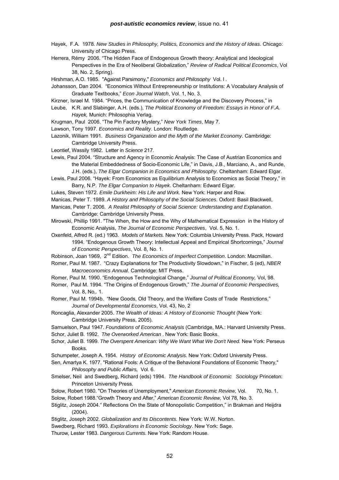- Hayek, F.A. 1978. *New Studies in Philosophy, Politics, Economics and the History of Ideas*. Chicago: University of Chicago Press.
- Herrera, Rémy 2006. "The Hidden Face of Endogenous Growth theory: Analytical and Ideological Perspectives in the Era of Neoliberal Globalization," *Review of Radical Political Economics*, Vol 38, No. 2, Spring).
- Hirshman, A.O. 1985. "Against Parsimony," *Economics and Philosophy* Vol. l .
- Johansson, Dan 2004. "Economics Without Entrepreneurship or Institutions: A Vocabulary Analysis of Graduate Textbooks," *Econ Journal Watch*, Vol. 1, No. 3.
- Kirzner, Israel M. 1984. "Prices, the Communication of Knowledge and the Discovery Process," in
- Leube, K.R. and Slabinger, A.H. (eds.), *The Political Economy of Freedom: Essays in Honor of F.A. Hayek,* Munich: Philosophia Verlag.
- Krugman, Paul 2006. "The Pin Factory Mystery," *New York Times*, May 7.
- Lawson, Tony 1997. *Economics and Reality*. London: Routledge.
- Lazonik, William 1991. *Business Organization and the Myth of the Market Economy*. Cambridge: Cambridge University Press.
- Leontief, Wassily 1982. Letter in *Science* 217.
- Lewis, Paul 2004. "Structure and Agency in Economic Analysis: The Case of Austrian Economics and the Material Embeddedness of Socio-Economic Life," in Davis, J.B., Marciano, A., and Runde, J.H. (eds.), *The Elgar Companion in Economics and Philosophy*. Cheltanham: Edward Elgar.
- Lewis, Paul 2006. "Hayek: From Economics as Equilibrium Analysis to Economics as Social Theory," in Barry, N.P. *The Elgar Companion to Hayek*. Cheltanham: Edward Elgar.
- Lukes, Steven 1972. *Emile Durkheim: His Life and Work.* New York: Harper and Row.
- Manicas, Peter T. 1989. *A History and Philosophy of the Social Sciences*. Oxford: Basil Blackwell,
- Manicas, Peter T. 2006. *A Realist Philosophy of Social Science: Understanding and Explanation.*  Cambridge: Cambridge University Press.
- Mirowski, Phillip 1991. "The When, the How and the Why of Mathematical Expression in the History of Economic Analysis, *The Journal of Economic Perspectives*, Vol. 5, No. 1.
- Oxenfeld, Alfred R. (ed.) 1963. *Models of Markets.* New York: Columbia University Press. Pack, Howard 1994. "Endogenous Growth Theory: Intellectual Appeal and Empirical Shortcomings," *Journal of Economic Perspectives*, Vol. 8, No. 1.
- Robinson, Joan 1969, 2nd Edition. *The Economics of Imperfect Competition*. London: Macmillan.
- Romer, Paul M. 1987. "Crazy Explanations for The Productivity Slowdown," in Fischer, S (ed), *NBER Macroeconomics Annual.* Cambridge: MIT Press.
- Romer, Paul M. 1990. "Endogenous Technological Change," *Journal of Political Economy,* Vol, 98.
- Romer, Paul M. 1994. "The Origins of Endogenous Growth," *The Journal of Economic Perspectives,* Vol. 8, No,. 1.
- Romer, Paul M. 1994b. "New Goods, Old Theory, and the Welfare Costs of Trade Restrictions," *Journal of Developmental Economics*, Vol. 43, No, 2
- Roncaglia, Alexander 2005. *The Wealth of Ideas: A History of Economic Thought* (New York: Cambridge University Press, 2005).
- Samuelson, Paul 1947. *Foundations of Economic Analysis* (Cambridge, MA.: Harvard University Press. Schor, Juliet B. 1992. *The Overworked American* . New York: Basic Books.
- Schor, Juliet B. 1999. *The Overspent American: Why We Want What We Don't Need.* New York: Perseus Books.
- Schumpeter, Joseph A. 1954. *History of Economic Analysis*. New York: Oxford University Press.
- Sen, Amartya K. 1977. "Rational Fools: A Critique of the Behavioral Foundations of Economic Theory," *Philosophy and Public Affairs,* Vol. 6.
- Smelser, Neil and Swedberg, Richard (eds) 1994. *The Handbook of Economic Sociology* Princeton: Princeton University Press.
- Solow, Robert 1980. "On Theories of Unemployment," *American Economic Review,* Vol. 70, No. 1. Solow, Robert 1988."Growth Theory and After," *American Economic Review,* Vol 78, No. 3.
- Stiglitz, Joseph 2004." Reflections On the State of Monopolistic Competition," in Brakman and Heijdra (2004).
- Stiglitz, Joseph 2002. *Globalization and Its Discontents.* New York: W.W. Norton.
- Swedberg, Richard 1993. *Explorations in Economic Sociology*. New York: Sage.

Thurow, Lester 1983. *Dangerous Currents*. New York: Random House.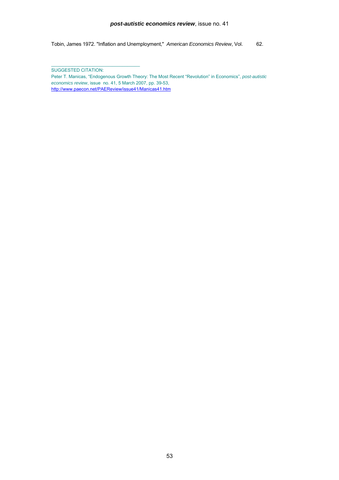### *post-autistic economics review*, issue no. 41

Tobin, James 1972. "Inflation and Unemployment," *American Economics Review*, Vol. 62.

SUGGESTED CITATION:

 $\_$  . The contribution of the contribution of  $\mathcal{L}_\mathcal{A}$ 

Peter T. Manicas, "Endogenous Growth Theory: The Most Recent "Revolution" in Economics", *post-autistic economics review*, issue no. 41, 5 March 2007, pp. 39-53, [http://www.paecon.net/PAEReview/issue41/Manicas41.htm](http://www.paecon.net/PAEReview/issue41/Goodacre41.htm)